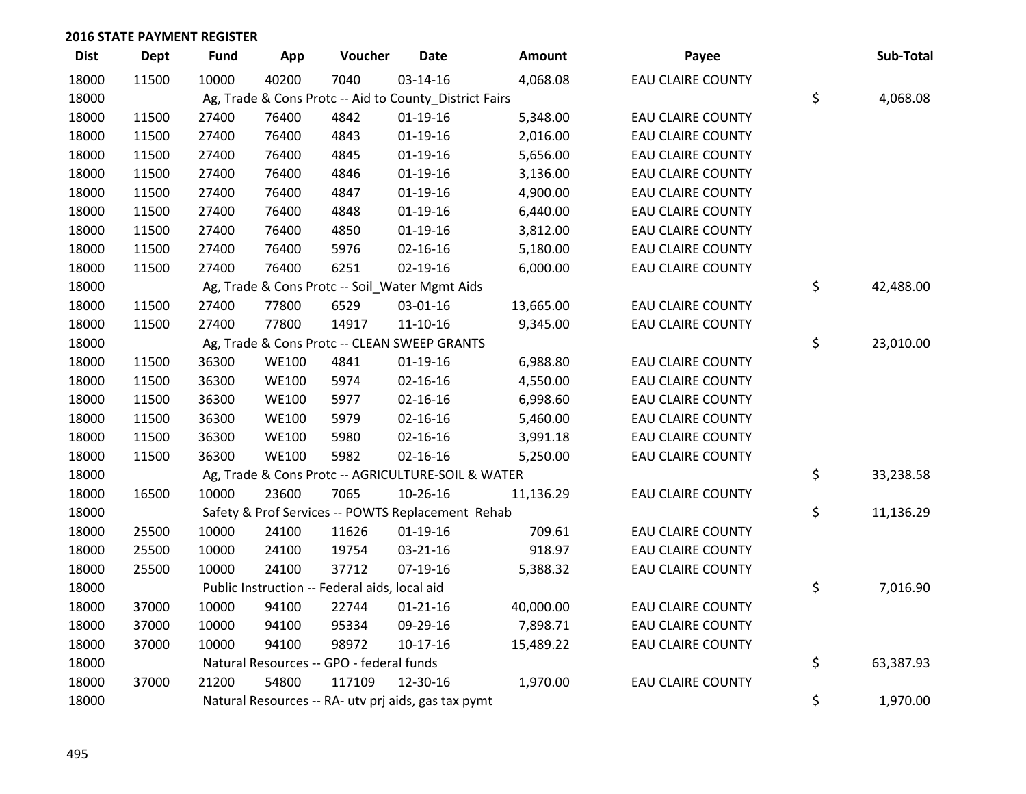| <b>Dist</b> | <b>Dept</b> | <b>Fund</b> | App          | Voucher                                       | Date                                                   | Amount    | Payee                    | Sub-Total       |
|-------------|-------------|-------------|--------------|-----------------------------------------------|--------------------------------------------------------|-----------|--------------------------|-----------------|
| 18000       | 11500       | 10000       | 40200        | 7040                                          | 03-14-16                                               | 4,068.08  | <b>EAU CLAIRE COUNTY</b> |                 |
| 18000       |             |             |              |                                               | Ag, Trade & Cons Protc -- Aid to County_District Fairs |           |                          | \$<br>4,068.08  |
| 18000       | 11500       | 27400       | 76400        | 4842                                          | $01-19-16$                                             | 5,348.00  | <b>EAU CLAIRE COUNTY</b> |                 |
| 18000       | 11500       | 27400       | 76400        | 4843                                          | $01-19-16$                                             | 2,016.00  | <b>EAU CLAIRE COUNTY</b> |                 |
| 18000       | 11500       | 27400       | 76400        | 4845                                          | $01-19-16$                                             | 5,656.00  | <b>EAU CLAIRE COUNTY</b> |                 |
| 18000       | 11500       | 27400       | 76400        | 4846                                          | $01-19-16$                                             | 3,136.00  | <b>EAU CLAIRE COUNTY</b> |                 |
| 18000       | 11500       | 27400       | 76400        | 4847                                          | $01-19-16$                                             | 4,900.00  | <b>EAU CLAIRE COUNTY</b> |                 |
| 18000       | 11500       | 27400       | 76400        | 4848                                          | $01-19-16$                                             | 6,440.00  | <b>EAU CLAIRE COUNTY</b> |                 |
| 18000       | 11500       | 27400       | 76400        | 4850                                          | $01-19-16$                                             | 3,812.00  | <b>EAU CLAIRE COUNTY</b> |                 |
| 18000       | 11500       | 27400       | 76400        | 5976                                          | 02-16-16                                               | 5,180.00  | <b>EAU CLAIRE COUNTY</b> |                 |
| 18000       | 11500       | 27400       | 76400        | 6251                                          | 02-19-16                                               | 6,000.00  | <b>EAU CLAIRE COUNTY</b> |                 |
| 18000       |             |             |              |                                               | Ag, Trade & Cons Protc -- Soil_Water Mgmt Aids         |           |                          | \$<br>42,488.00 |
| 18000       | 11500       | 27400       | 77800        | 6529                                          | 03-01-16                                               | 13,665.00 | <b>EAU CLAIRE COUNTY</b> |                 |
| 18000       | 11500       | 27400       | 77800        | 14917                                         | $11 - 10 - 16$                                         | 9,345.00  | <b>EAU CLAIRE COUNTY</b> |                 |
| 18000       |             |             |              |                                               | Ag, Trade & Cons Protc -- CLEAN SWEEP GRANTS           |           |                          | \$<br>23,010.00 |
| 18000       | 11500       | 36300       | <b>WE100</b> | 4841                                          | $01-19-16$                                             | 6,988.80  | <b>EAU CLAIRE COUNTY</b> |                 |
| 18000       | 11500       | 36300       | <b>WE100</b> | 5974                                          | $02 - 16 - 16$                                         | 4,550.00  | <b>EAU CLAIRE COUNTY</b> |                 |
| 18000       | 11500       | 36300       | <b>WE100</b> | 5977                                          | $02 - 16 - 16$                                         | 6,998.60  | <b>EAU CLAIRE COUNTY</b> |                 |
| 18000       | 11500       | 36300       | <b>WE100</b> | 5979                                          | $02 - 16 - 16$                                         | 5,460.00  | <b>EAU CLAIRE COUNTY</b> |                 |
| 18000       | 11500       | 36300       | <b>WE100</b> | 5980                                          | $02 - 16 - 16$                                         | 3,991.18  | <b>EAU CLAIRE COUNTY</b> |                 |
| 18000       | 11500       | 36300       | <b>WE100</b> | 5982                                          | $02 - 16 - 16$                                         | 5,250.00  | <b>EAU CLAIRE COUNTY</b> |                 |
| 18000       |             |             |              |                                               | Ag, Trade & Cons Protc -- AGRICULTURE-SOIL & WATER     |           |                          | \$<br>33,238.58 |
| 18000       | 16500       | 10000       | 23600        | 7065                                          | $10-26-16$                                             | 11,136.29 | <b>EAU CLAIRE COUNTY</b> |                 |
| 18000       |             |             |              |                                               | Safety & Prof Services -- POWTS Replacement Rehab      |           |                          | \$<br>11,136.29 |
| 18000       | 25500       | 10000       | 24100        | 11626                                         | $01-19-16$                                             | 709.61    | <b>EAU CLAIRE COUNTY</b> |                 |
| 18000       | 25500       | 10000       | 24100        | 19754                                         | 03-21-16                                               | 918.97    | <b>EAU CLAIRE COUNTY</b> |                 |
| 18000       | 25500       | 10000       | 24100        | 37712                                         | 07-19-16                                               | 5,388.32  | <b>EAU CLAIRE COUNTY</b> |                 |
| 18000       |             |             |              | Public Instruction -- Federal aids, local aid |                                                        |           |                          | \$<br>7,016.90  |
| 18000       | 37000       | 10000       | 94100        | 22744                                         | $01 - 21 - 16$                                         | 40,000.00 | <b>EAU CLAIRE COUNTY</b> |                 |
| 18000       | 37000       | 10000       | 94100        | 95334                                         | 09-29-16                                               | 7,898.71  | <b>EAU CLAIRE COUNTY</b> |                 |
| 18000       | 37000       | 10000       | 94100        | 98972                                         | $10-17-16$                                             | 15,489.22 | <b>EAU CLAIRE COUNTY</b> |                 |
| 18000       |             |             |              | Natural Resources -- GPO - federal funds      |                                                        |           |                          | \$<br>63,387.93 |
| 18000       | 37000       | 21200       | 54800        | 117109                                        | 12-30-16                                               | 1,970.00  | <b>EAU CLAIRE COUNTY</b> |                 |
| 18000       |             |             |              |                                               | Natural Resources -- RA- utv prj aids, gas tax pymt    |           |                          | \$<br>1,970.00  |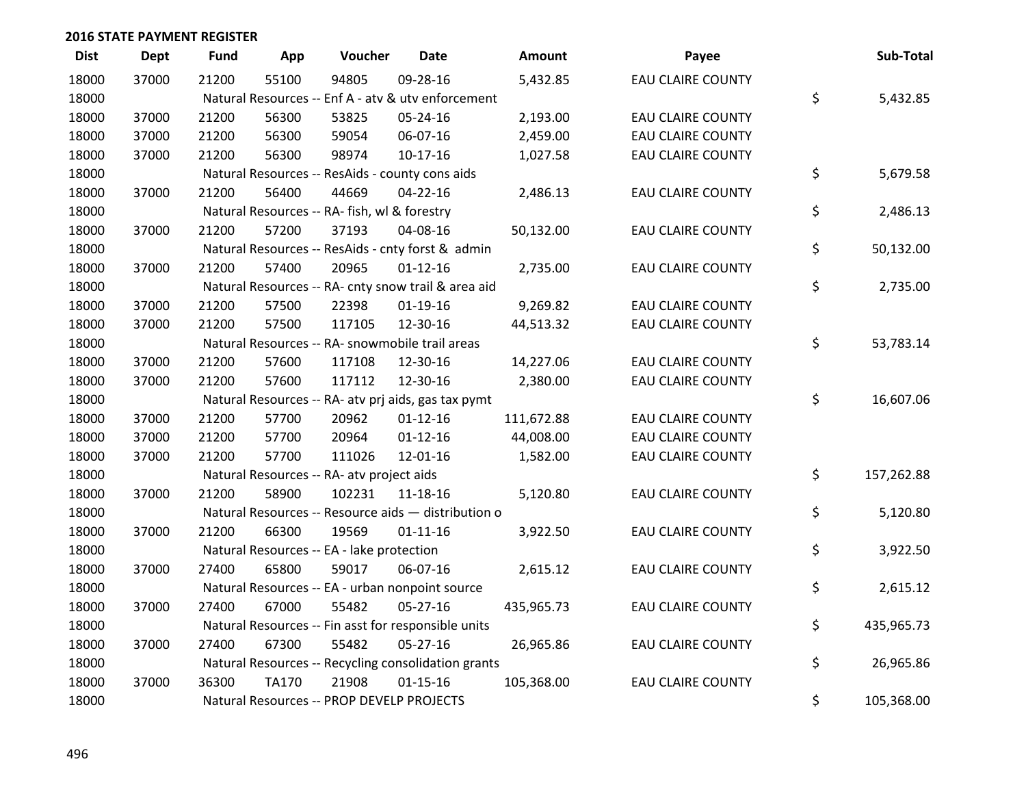| <b>Dist</b> | <b>Dept</b> | <b>Fund</b> | App          | Voucher                                             | <b>Date</b>    | <b>Amount</b> | Payee                    | Sub-Total        |
|-------------|-------------|-------------|--------------|-----------------------------------------------------|----------------|---------------|--------------------------|------------------|
| 18000       | 37000       | 21200       | 55100        | 94805                                               | 09-28-16       | 5,432.85      | <b>EAU CLAIRE COUNTY</b> |                  |
| 18000       |             |             |              | Natural Resources -- Enf A - atv & utv enforcement  |                |               |                          | \$<br>5,432.85   |
| 18000       | 37000       | 21200       | 56300        | 53825                                               | 05-24-16       | 2,193.00      | <b>EAU CLAIRE COUNTY</b> |                  |
| 18000       | 37000       | 21200       | 56300        | 59054                                               | 06-07-16       | 2,459.00      | <b>EAU CLAIRE COUNTY</b> |                  |
| 18000       | 37000       | 21200       | 56300        | 98974                                               | $10-17-16$     | 1,027.58      | <b>EAU CLAIRE COUNTY</b> |                  |
| 18000       |             |             |              | Natural Resources -- ResAids - county cons aids     |                |               |                          | \$<br>5,679.58   |
| 18000       | 37000       | 21200       | 56400        | 44669                                               | 04-22-16       | 2,486.13      | <b>EAU CLAIRE COUNTY</b> |                  |
| 18000       |             |             |              | Natural Resources -- RA- fish, wl & forestry        |                |               |                          | \$<br>2,486.13   |
| 18000       | 37000       | 21200       | 57200        | 37193                                               | 04-08-16       | 50,132.00     | <b>EAU CLAIRE COUNTY</b> |                  |
| 18000       |             |             |              | Natural Resources -- ResAids - cnty forst & admin   |                |               |                          | \$<br>50,132.00  |
| 18000       | 37000       | 21200       | 57400        | 20965                                               | $01 - 12 - 16$ | 2,735.00      | <b>EAU CLAIRE COUNTY</b> |                  |
| 18000       |             |             |              | Natural Resources -- RA- cnty snow trail & area aid |                |               |                          | \$<br>2,735.00   |
| 18000       | 37000       | 21200       | 57500        | 22398                                               | $01-19-16$     | 9,269.82      | <b>EAU CLAIRE COUNTY</b> |                  |
| 18000       | 37000       | 21200       | 57500        | 117105                                              | 12-30-16       | 44,513.32     | <b>EAU CLAIRE COUNTY</b> |                  |
| 18000       |             |             |              | Natural Resources -- RA- snowmobile trail areas     |                |               |                          | \$<br>53,783.14  |
| 18000       | 37000       | 21200       | 57600        | 117108                                              | 12-30-16       | 14,227.06     | <b>EAU CLAIRE COUNTY</b> |                  |
| 18000       | 37000       | 21200       | 57600        | 117112                                              | 12-30-16       | 2,380.00      | <b>EAU CLAIRE COUNTY</b> |                  |
| 18000       |             |             |              | Natural Resources -- RA- atv prj aids, gas tax pymt |                |               |                          | \$<br>16,607.06  |
| 18000       | 37000       | 21200       | 57700        | 20962                                               | $01 - 12 - 16$ | 111,672.88    | EAU CLAIRE COUNTY        |                  |
| 18000       | 37000       | 21200       | 57700        | 20964                                               | $01 - 12 - 16$ | 44,008.00     | <b>EAU CLAIRE COUNTY</b> |                  |
| 18000       | 37000       | 21200       | 57700        | 111026                                              | 12-01-16       | 1,582.00      | <b>EAU CLAIRE COUNTY</b> |                  |
| 18000       |             |             |              | Natural Resources -- RA- atv project aids           |                |               |                          | \$<br>157,262.88 |
| 18000       | 37000       | 21200       | 58900        | 102231                                              | 11-18-16       | 5,120.80      | <b>EAU CLAIRE COUNTY</b> |                  |
| 18000       |             |             |              | Natural Resources -- Resource aids - distribution o |                |               |                          | \$<br>5,120.80   |
| 18000       | 37000       | 21200       | 66300        | 19569                                               | $01 - 11 - 16$ | 3,922.50      | <b>EAU CLAIRE COUNTY</b> |                  |
| 18000       |             |             |              | Natural Resources -- EA - lake protection           |                |               |                          | \$<br>3,922.50   |
| 18000       | 37000       | 27400       | 65800        | 59017                                               | 06-07-16       | 2,615.12      | <b>EAU CLAIRE COUNTY</b> |                  |
| 18000       |             |             |              | Natural Resources -- EA - urban nonpoint source     |                |               |                          | \$<br>2,615.12   |
| 18000       | 37000       | 27400       | 67000        | 55482                                               | $05 - 27 - 16$ | 435,965.73    | <b>EAU CLAIRE COUNTY</b> |                  |
| 18000       |             |             |              | Natural Resources -- Fin asst for responsible units |                |               |                          | \$<br>435,965.73 |
| 18000       | 37000       | 27400       | 67300        | 55482                                               | 05-27-16       | 26,965.86     | <b>EAU CLAIRE COUNTY</b> |                  |
| 18000       |             |             |              | Natural Resources -- Recycling consolidation grants |                |               |                          | \$<br>26,965.86  |
| 18000       | 37000       | 36300       | <b>TA170</b> | 21908                                               | $01 - 15 - 16$ | 105,368.00    | <b>EAU CLAIRE COUNTY</b> |                  |
| 18000       |             |             |              | Natural Resources -- PROP DEVELP PROJECTS           |                |               |                          | \$<br>105,368.00 |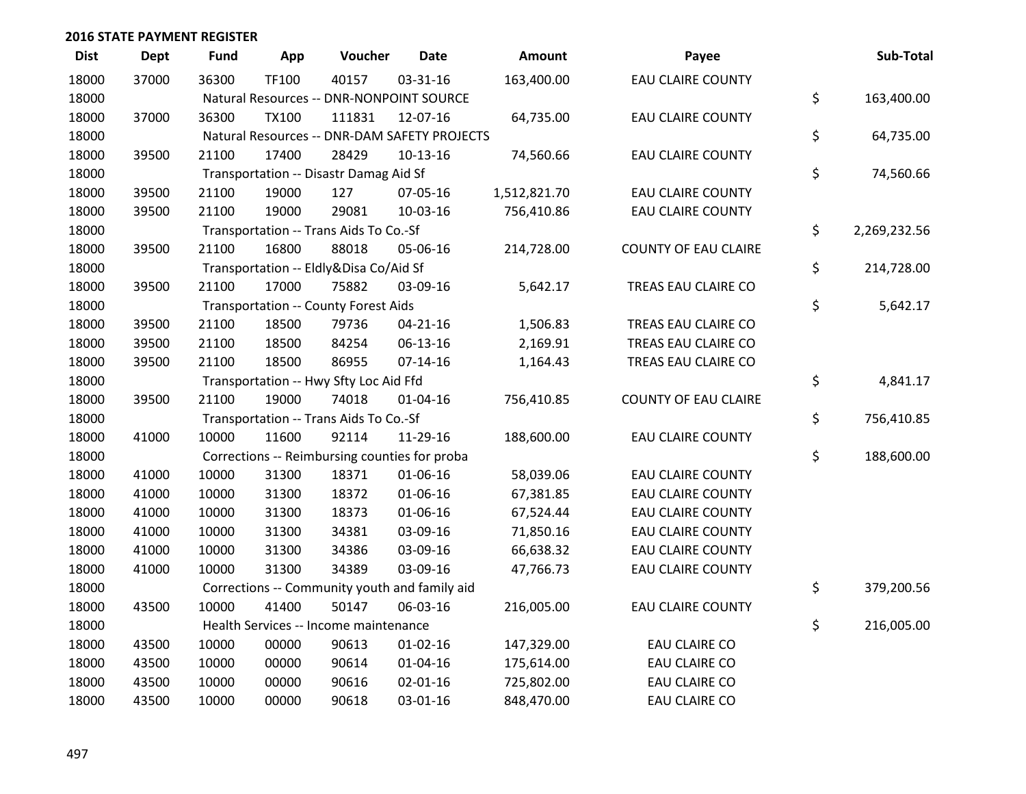| <b>Dist</b> | <b>Dept</b> | <b>Fund</b> | App          | Voucher                                       | <b>Date</b>    | Amount       | Payee                       | Sub-Total          |
|-------------|-------------|-------------|--------------|-----------------------------------------------|----------------|--------------|-----------------------------|--------------------|
| 18000       | 37000       | 36300       | TF100        | 40157                                         | 03-31-16       | 163,400.00   | <b>EAU CLAIRE COUNTY</b>    |                    |
| 18000       |             |             |              | Natural Resources -- DNR-NONPOINT SOURCE      |                |              |                             | \$<br>163,400.00   |
| 18000       | 37000       | 36300       | <b>TX100</b> | 111831                                        | 12-07-16       | 64,735.00    | <b>EAU CLAIRE COUNTY</b>    |                    |
| 18000       |             |             |              | Natural Resources -- DNR-DAM SAFETY PROJECTS  |                |              |                             | \$<br>64,735.00    |
| 18000       | 39500       | 21100       | 17400        | 28429                                         | $10-13-16$     | 74,560.66    | <b>EAU CLAIRE COUNTY</b>    |                    |
| 18000       |             |             |              | Transportation -- Disastr Damag Aid Sf        |                |              |                             | \$<br>74,560.66    |
| 18000       | 39500       | 21100       | 19000        | 127                                           | 07-05-16       | 1,512,821.70 | EAU CLAIRE COUNTY           |                    |
| 18000       | 39500       | 21100       | 19000        | 29081                                         | 10-03-16       | 756,410.86   | <b>EAU CLAIRE COUNTY</b>    |                    |
| 18000       |             |             |              | Transportation -- Trans Aids To Co.-Sf        |                |              |                             | \$<br>2,269,232.56 |
| 18000       | 39500       | 21100       | 16800        | 88018                                         | 05-06-16       | 214,728.00   | <b>COUNTY OF EAU CLAIRE</b> |                    |
| 18000       |             |             |              | Transportation -- Eldly&Disa Co/Aid Sf        |                |              |                             | \$<br>214,728.00   |
| 18000       | 39500       | 21100       | 17000        | 75882                                         | 03-09-16       | 5,642.17     | TREAS EAU CLAIRE CO         |                    |
| 18000       |             |             |              | Transportation -- County Forest Aids          |                |              |                             | \$<br>5,642.17     |
| 18000       | 39500       | 21100       | 18500        | 79736                                         | $04 - 21 - 16$ | 1,506.83     | TREAS EAU CLAIRE CO         |                    |
| 18000       | 39500       | 21100       | 18500        | 84254                                         | 06-13-16       | 2,169.91     | TREAS EAU CLAIRE CO         |                    |
| 18000       | 39500       | 21100       | 18500        | 86955                                         | $07 - 14 - 16$ | 1,164.43     | TREAS EAU CLAIRE CO         |                    |
| 18000       |             |             |              | Transportation -- Hwy Sfty Loc Aid Ffd        |                |              |                             | \$<br>4,841.17     |
| 18000       | 39500       | 21100       | 19000        | 74018                                         | $01 - 04 - 16$ | 756,410.85   | <b>COUNTY OF EAU CLAIRE</b> |                    |
| 18000       |             |             |              | Transportation -- Trans Aids To Co.-Sf        |                |              |                             | \$<br>756,410.85   |
| 18000       | 41000       | 10000       | 11600        | 92114                                         | 11-29-16       | 188,600.00   | EAU CLAIRE COUNTY           |                    |
| 18000       |             |             |              | Corrections -- Reimbursing counties for proba |                |              |                             | \$<br>188,600.00   |
| 18000       | 41000       | 10000       | 31300        | 18371                                         | 01-06-16       | 58,039.06    | <b>EAU CLAIRE COUNTY</b>    |                    |
| 18000       | 41000       | 10000       | 31300        | 18372                                         | 01-06-16       | 67,381.85    | <b>EAU CLAIRE COUNTY</b>    |                    |
| 18000       | 41000       | 10000       | 31300        | 18373                                         | 01-06-16       | 67,524.44    | <b>EAU CLAIRE COUNTY</b>    |                    |
| 18000       | 41000       | 10000       | 31300        | 34381                                         | 03-09-16       | 71,850.16    | <b>EAU CLAIRE COUNTY</b>    |                    |
| 18000       | 41000       | 10000       | 31300        | 34386                                         | 03-09-16       | 66,638.32    | <b>EAU CLAIRE COUNTY</b>    |                    |
| 18000       | 41000       | 10000       | 31300        | 34389                                         | 03-09-16       | 47,766.73    | <b>EAU CLAIRE COUNTY</b>    |                    |
| 18000       |             |             |              | Corrections -- Community youth and family aid |                |              |                             | \$<br>379,200.56   |
| 18000       | 43500       | 10000       | 41400        | 50147                                         | 06-03-16       | 216,005.00   | <b>EAU CLAIRE COUNTY</b>    |                    |
| 18000       |             |             |              | Health Services -- Income maintenance         |                |              |                             | \$<br>216,005.00   |
| 18000       | 43500       | 10000       | 00000        | 90613                                         | $01-02-16$     | 147,329.00   | <b>EAU CLAIRE CO</b>        |                    |
| 18000       | 43500       | 10000       | 00000        | 90614                                         | 01-04-16       | 175,614.00   | <b>EAU CLAIRE CO</b>        |                    |
| 18000       | 43500       | 10000       | 00000        | 90616                                         | $02 - 01 - 16$ | 725,802.00   | <b>EAU CLAIRE CO</b>        |                    |
| 18000       | 43500       | 10000       | 00000        | 90618                                         | 03-01-16       | 848,470.00   | <b>EAU CLAIRE CO</b>        |                    |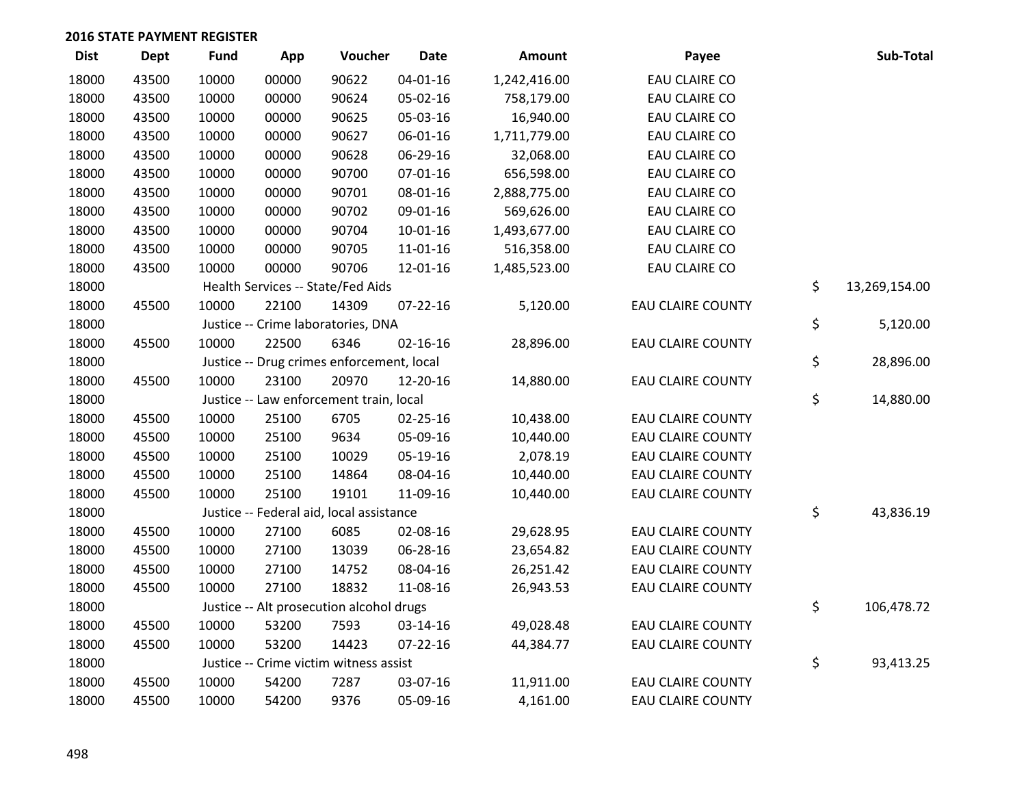| <b>Dist</b> | <b>Dept</b> | <b>Fund</b> | App   | Voucher                                   | <b>Date</b>    | <b>Amount</b> | Payee                    | Sub-Total           |
|-------------|-------------|-------------|-------|-------------------------------------------|----------------|---------------|--------------------------|---------------------|
| 18000       | 43500       | 10000       | 00000 | 90622                                     | $04 - 01 - 16$ | 1,242,416.00  | <b>EAU CLAIRE CO</b>     |                     |
| 18000       | 43500       | 10000       | 00000 | 90624                                     | 05-02-16       | 758,179.00    | EAU CLAIRE CO            |                     |
| 18000       | 43500       | 10000       | 00000 | 90625                                     | 05-03-16       | 16,940.00     | <b>EAU CLAIRE CO</b>     |                     |
| 18000       | 43500       | 10000       | 00000 | 90627                                     | 06-01-16       | 1,711,779.00  | <b>EAU CLAIRE CO</b>     |                     |
| 18000       | 43500       | 10000       | 00000 | 90628                                     | 06-29-16       | 32,068.00     | EAU CLAIRE CO            |                     |
| 18000       | 43500       | 10000       | 00000 | 90700                                     | $07 - 01 - 16$ | 656,598.00    | <b>EAU CLAIRE CO</b>     |                     |
| 18000       | 43500       | 10000       | 00000 | 90701                                     | 08-01-16       | 2,888,775.00  | <b>EAU CLAIRE CO</b>     |                     |
| 18000       | 43500       | 10000       | 00000 | 90702                                     | 09-01-16       | 569,626.00    | <b>EAU CLAIRE CO</b>     |                     |
| 18000       | 43500       | 10000       | 00000 | 90704                                     | 10-01-16       | 1,493,677.00  | EAU CLAIRE CO            |                     |
| 18000       | 43500       | 10000       | 00000 | 90705                                     | 11-01-16       | 516,358.00    | EAU CLAIRE CO            |                     |
| 18000       | 43500       | 10000       | 00000 | 90706                                     | 12-01-16       | 1,485,523.00  | EAU CLAIRE CO            |                     |
| 18000       |             |             |       | Health Services -- State/Fed Aids         |                |               |                          | \$<br>13,269,154.00 |
| 18000       | 45500       | 10000       | 22100 | 14309                                     | $07 - 22 - 16$ | 5,120.00      | <b>EAU CLAIRE COUNTY</b> |                     |
| 18000       |             |             |       | Justice -- Crime laboratories, DNA        |                |               |                          | \$<br>5,120.00      |
| 18000       | 45500       | 10000       | 22500 | 6346                                      | $02 - 16 - 16$ | 28,896.00     | <b>EAU CLAIRE COUNTY</b> |                     |
| 18000       |             |             |       | Justice -- Drug crimes enforcement, local |                |               |                          | \$<br>28,896.00     |
| 18000       | 45500       | 10000       | 23100 | 20970                                     | 12-20-16       | 14,880.00     | <b>EAU CLAIRE COUNTY</b> |                     |
| 18000       |             |             |       | Justice -- Law enforcement train, local   |                |               |                          | \$<br>14,880.00     |
| 18000       | 45500       | 10000       | 25100 | 6705                                      | $02 - 25 - 16$ | 10,438.00     | <b>EAU CLAIRE COUNTY</b> |                     |
| 18000       | 45500       | 10000       | 25100 | 9634                                      | 05-09-16       | 10,440.00     | <b>EAU CLAIRE COUNTY</b> |                     |
| 18000       | 45500       | 10000       | 25100 | 10029                                     | 05-19-16       | 2,078.19      | <b>EAU CLAIRE COUNTY</b> |                     |
| 18000       | 45500       | 10000       | 25100 | 14864                                     | 08-04-16       | 10,440.00     | <b>EAU CLAIRE COUNTY</b> |                     |
| 18000       | 45500       | 10000       | 25100 | 19101                                     | 11-09-16       | 10,440.00     | <b>EAU CLAIRE COUNTY</b> |                     |
| 18000       |             |             |       | Justice -- Federal aid, local assistance  |                |               |                          | \$<br>43,836.19     |
| 18000       | 45500       | 10000       | 27100 | 6085                                      | 02-08-16       | 29,628.95     | <b>EAU CLAIRE COUNTY</b> |                     |
| 18000       | 45500       | 10000       | 27100 | 13039                                     | 06-28-16       | 23,654.82     | <b>EAU CLAIRE COUNTY</b> |                     |
| 18000       | 45500       | 10000       | 27100 | 14752                                     | 08-04-16       | 26,251.42     | <b>EAU CLAIRE COUNTY</b> |                     |
| 18000       | 45500       | 10000       | 27100 | 18832                                     | 11-08-16       | 26,943.53     | <b>EAU CLAIRE COUNTY</b> |                     |
| 18000       |             |             |       | Justice -- Alt prosecution alcohol drugs  |                |               |                          | \$<br>106,478.72    |
| 18000       | 45500       | 10000       | 53200 | 7593                                      | 03-14-16       | 49,028.48     | <b>EAU CLAIRE COUNTY</b> |                     |
| 18000       | 45500       | 10000       | 53200 | 14423                                     | 07-22-16       | 44,384.77     | <b>EAU CLAIRE COUNTY</b> |                     |
| 18000       |             |             |       | Justice -- Crime victim witness assist    |                |               |                          | \$<br>93,413.25     |
| 18000       | 45500       | 10000       | 54200 | 7287                                      | 03-07-16       | 11,911.00     | <b>EAU CLAIRE COUNTY</b> |                     |
| 18000       | 45500       | 10000       | 54200 | 9376                                      | 05-09-16       | 4,161.00      | <b>EAU CLAIRE COUNTY</b> |                     |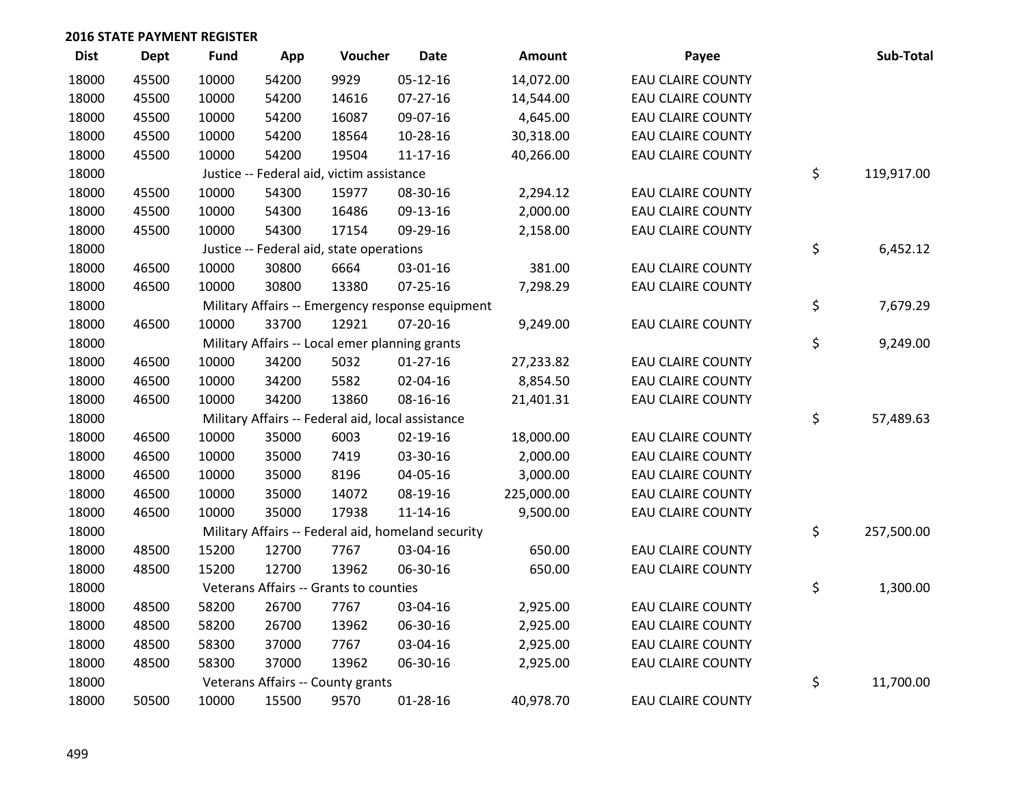| <b>Dist</b> | <b>Dept</b> | <b>Fund</b> | App   | Voucher                                           | <b>Date</b>                                        | Amount     | Payee                    | Sub-Total        |
|-------------|-------------|-------------|-------|---------------------------------------------------|----------------------------------------------------|------------|--------------------------|------------------|
| 18000       | 45500       | 10000       | 54200 | 9929                                              | $05-12-16$                                         | 14,072.00  | <b>EAU CLAIRE COUNTY</b> |                  |
| 18000       | 45500       | 10000       | 54200 | 14616                                             | $07 - 27 - 16$                                     | 14,544.00  | <b>EAU CLAIRE COUNTY</b> |                  |
| 18000       | 45500       | 10000       | 54200 | 16087                                             | 09-07-16                                           | 4,645.00   | <b>EAU CLAIRE COUNTY</b> |                  |
| 18000       | 45500       | 10000       | 54200 | 18564                                             | 10-28-16                                           | 30,318.00  | <b>EAU CLAIRE COUNTY</b> |                  |
| 18000       | 45500       | 10000       | 54200 | 19504                                             | $11 - 17 - 16$                                     | 40,266.00  | <b>EAU CLAIRE COUNTY</b> |                  |
| 18000       |             |             |       | Justice -- Federal aid, victim assistance         |                                                    |            |                          | \$<br>119,917.00 |
| 18000       | 45500       | 10000       | 54300 | 15977                                             | 08-30-16                                           | 2,294.12   | <b>EAU CLAIRE COUNTY</b> |                  |
| 18000       | 45500       | 10000       | 54300 | 16486                                             | 09-13-16                                           | 2,000.00   | <b>EAU CLAIRE COUNTY</b> |                  |
| 18000       | 45500       | 10000       | 54300 | 17154                                             | 09-29-16                                           | 2,158.00   | <b>EAU CLAIRE COUNTY</b> |                  |
| 18000       |             |             |       | Justice -- Federal aid, state operations          |                                                    |            |                          | \$<br>6,452.12   |
| 18000       | 46500       | 10000       | 30800 | 6664                                              | 03-01-16                                           | 381.00     | <b>EAU CLAIRE COUNTY</b> |                  |
| 18000       | 46500       | 10000       | 30800 | 13380                                             | 07-25-16                                           | 7,298.29   | <b>EAU CLAIRE COUNTY</b> |                  |
| 18000       |             |             |       |                                                   | Military Affairs -- Emergency response equipment   |            |                          | \$<br>7,679.29   |
| 18000       | 46500       | 10000       | 33700 | 12921                                             | $07 - 20 - 16$                                     | 9,249.00   | <b>EAU CLAIRE COUNTY</b> |                  |
| 18000       |             |             |       | Military Affairs -- Local emer planning grants    |                                                    |            |                          | \$<br>9,249.00   |
| 18000       | 46500       | 10000       | 34200 | 5032                                              | $01-27-16$                                         | 27,233.82  | <b>EAU CLAIRE COUNTY</b> |                  |
| 18000       | 46500       | 10000       | 34200 | 5582                                              | 02-04-16                                           | 8,854.50   | <b>EAU CLAIRE COUNTY</b> |                  |
| 18000       | 46500       | 10000       | 34200 | 13860                                             | 08-16-16                                           | 21,401.31  | <b>EAU CLAIRE COUNTY</b> |                  |
| 18000       |             |             |       | Military Affairs -- Federal aid, local assistance |                                                    |            |                          | \$<br>57,489.63  |
| 18000       | 46500       | 10000       | 35000 | 6003                                              | 02-19-16                                           | 18,000.00  | <b>EAU CLAIRE COUNTY</b> |                  |
| 18000       | 46500       | 10000       | 35000 | 7419                                              | 03-30-16                                           | 2,000.00   | <b>EAU CLAIRE COUNTY</b> |                  |
| 18000       | 46500       | 10000       | 35000 | 8196                                              | 04-05-16                                           | 3,000.00   | <b>EAU CLAIRE COUNTY</b> |                  |
| 18000       | 46500       | 10000       | 35000 | 14072                                             | 08-19-16                                           | 225,000.00 | <b>EAU CLAIRE COUNTY</b> |                  |
| 18000       | 46500       | 10000       | 35000 | 17938                                             | $11 - 14 - 16$                                     | 9,500.00   | <b>EAU CLAIRE COUNTY</b> |                  |
| 18000       |             |             |       |                                                   | Military Affairs -- Federal aid, homeland security |            |                          | \$<br>257,500.00 |
| 18000       | 48500       | 15200       | 12700 | 7767                                              | 03-04-16                                           | 650.00     | <b>EAU CLAIRE COUNTY</b> |                  |
| 18000       | 48500       | 15200       | 12700 | 13962                                             | 06-30-16                                           | 650.00     | <b>EAU CLAIRE COUNTY</b> |                  |
| 18000       |             |             |       | Veterans Affairs -- Grants to counties            |                                                    |            |                          | \$<br>1,300.00   |
| 18000       | 48500       | 58200       | 26700 | 7767                                              | 03-04-16                                           | 2,925.00   | <b>EAU CLAIRE COUNTY</b> |                  |
| 18000       | 48500       | 58200       | 26700 | 13962                                             | 06-30-16                                           | 2,925.00   | <b>EAU CLAIRE COUNTY</b> |                  |
| 18000       | 48500       | 58300       | 37000 | 7767                                              | 03-04-16                                           | 2,925.00   | <b>EAU CLAIRE COUNTY</b> |                  |
| 18000       | 48500       | 58300       | 37000 | 13962                                             | 06-30-16                                           | 2,925.00   | <b>EAU CLAIRE COUNTY</b> |                  |
| 18000       |             |             |       | Veterans Affairs -- County grants                 |                                                    |            |                          | \$<br>11,700.00  |
| 18000       | 50500       | 10000       | 15500 | 9570                                              | 01-28-16                                           | 40,978.70  | <b>EAU CLAIRE COUNTY</b> |                  |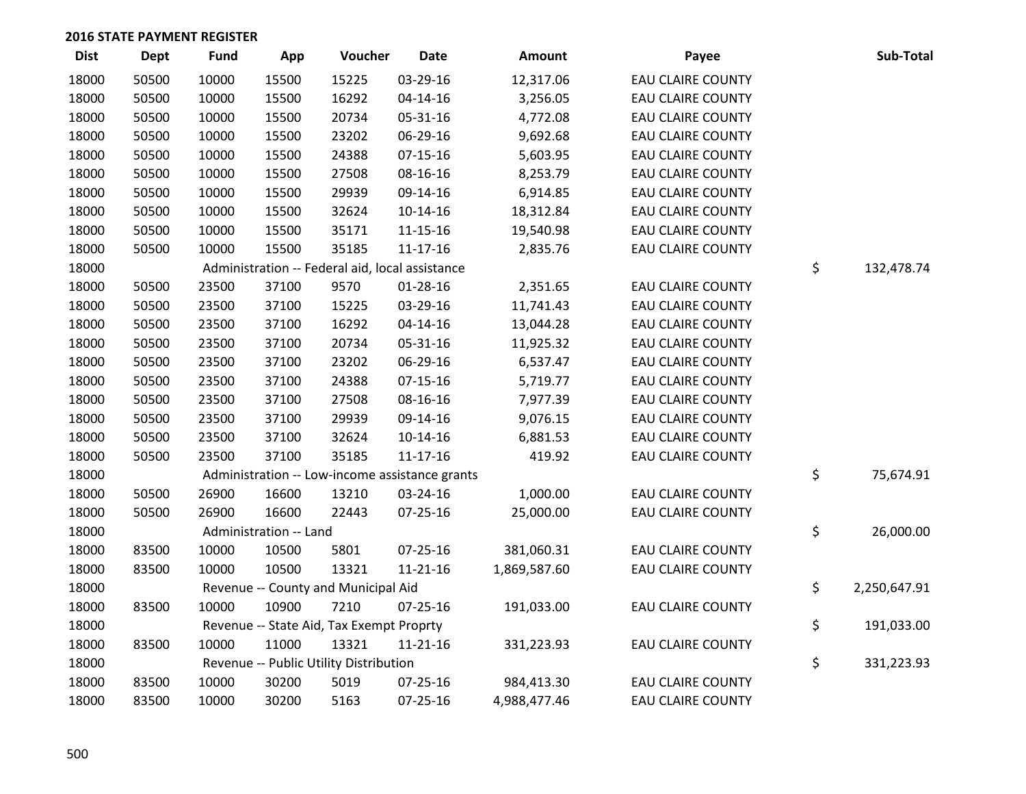| <b>Dist</b> | <b>Dept</b> | <b>Fund</b> | App                    | Voucher                                         | <b>Date</b>                                    | Amount       | Payee                    | Sub-Total          |
|-------------|-------------|-------------|------------------------|-------------------------------------------------|------------------------------------------------|--------------|--------------------------|--------------------|
| 18000       | 50500       | 10000       | 15500                  | 15225                                           | 03-29-16                                       | 12,317.06    | <b>EAU CLAIRE COUNTY</b> |                    |
| 18000       | 50500       | 10000       | 15500                  | 16292                                           | 04-14-16                                       | 3,256.05     | <b>EAU CLAIRE COUNTY</b> |                    |
| 18000       | 50500       | 10000       | 15500                  | 20734                                           | 05-31-16                                       | 4,772.08     | <b>EAU CLAIRE COUNTY</b> |                    |
| 18000       | 50500       | 10000       | 15500                  | 23202                                           | 06-29-16                                       | 9,692.68     | <b>EAU CLAIRE COUNTY</b> |                    |
| 18000       | 50500       | 10000       | 15500                  | 24388                                           | $07 - 15 - 16$                                 | 5,603.95     | <b>EAU CLAIRE COUNTY</b> |                    |
| 18000       | 50500       | 10000       | 15500                  | 27508                                           | 08-16-16                                       | 8,253.79     | <b>EAU CLAIRE COUNTY</b> |                    |
| 18000       | 50500       | 10000       | 15500                  | 29939                                           | 09-14-16                                       | 6,914.85     | <b>EAU CLAIRE COUNTY</b> |                    |
| 18000       | 50500       | 10000       | 15500                  | 32624                                           | $10-14-16$                                     | 18,312.84    | <b>EAU CLAIRE COUNTY</b> |                    |
| 18000       | 50500       | 10000       | 15500                  | 35171                                           | $11 - 15 - 16$                                 | 19,540.98    | <b>EAU CLAIRE COUNTY</b> |                    |
| 18000       | 50500       | 10000       | 15500                  | 35185                                           | $11 - 17 - 16$                                 | 2,835.76     | <b>EAU CLAIRE COUNTY</b> |                    |
| 18000       |             |             |                        | Administration -- Federal aid, local assistance |                                                |              |                          | \$<br>132,478.74   |
| 18000       | 50500       | 23500       | 37100                  | 9570                                            | 01-28-16                                       | 2,351.65     | <b>EAU CLAIRE COUNTY</b> |                    |
| 18000       | 50500       | 23500       | 37100                  | 15225                                           | 03-29-16                                       | 11,741.43    | <b>EAU CLAIRE COUNTY</b> |                    |
| 18000       | 50500       | 23500       | 37100                  | 16292                                           | 04-14-16                                       | 13,044.28    | <b>EAU CLAIRE COUNTY</b> |                    |
| 18000       | 50500       | 23500       | 37100                  | 20734                                           | 05-31-16                                       | 11,925.32    | <b>EAU CLAIRE COUNTY</b> |                    |
| 18000       | 50500       | 23500       | 37100                  | 23202                                           | 06-29-16                                       | 6,537.47     | <b>EAU CLAIRE COUNTY</b> |                    |
| 18000       | 50500       | 23500       | 37100                  | 24388                                           | $07 - 15 - 16$                                 | 5,719.77     | <b>EAU CLAIRE COUNTY</b> |                    |
| 18000       | 50500       | 23500       | 37100                  | 27508                                           | 08-16-16                                       | 7,977.39     | <b>EAU CLAIRE COUNTY</b> |                    |
| 18000       | 50500       | 23500       | 37100                  | 29939                                           | 09-14-16                                       | 9,076.15     | <b>EAU CLAIRE COUNTY</b> |                    |
| 18000       | 50500       | 23500       | 37100                  | 32624                                           | $10-14-16$                                     | 6,881.53     | <b>EAU CLAIRE COUNTY</b> |                    |
| 18000       | 50500       | 23500       | 37100                  | 35185                                           | $11 - 17 - 16$                                 | 419.92       | <b>EAU CLAIRE COUNTY</b> |                    |
| 18000       |             |             |                        |                                                 | Administration -- Low-income assistance grants |              |                          | \$<br>75,674.91    |
| 18000       | 50500       | 26900       | 16600                  | 13210                                           | 03-24-16                                       | 1,000.00     | <b>EAU CLAIRE COUNTY</b> |                    |
| 18000       | 50500       | 26900       | 16600                  | 22443                                           | 07-25-16                                       | 25,000.00    | <b>EAU CLAIRE COUNTY</b> |                    |
| 18000       |             |             | Administration -- Land |                                                 |                                                |              |                          | \$<br>26,000.00    |
| 18000       | 83500       | 10000       | 10500                  | 5801                                            | $07 - 25 - 16$                                 | 381,060.31   | <b>EAU CLAIRE COUNTY</b> |                    |
| 18000       | 83500       | 10000       | 10500                  | 13321                                           | $11 - 21 - 16$                                 | 1,869,587.60 | <b>EAU CLAIRE COUNTY</b> |                    |
| 18000       |             |             |                        | Revenue -- County and Municipal Aid             |                                                |              |                          | \$<br>2,250,647.91 |
| 18000       | 83500       | 10000       | 10900                  | 7210                                            | $07 - 25 - 16$                                 | 191,033.00   | <b>EAU CLAIRE COUNTY</b> |                    |
| 18000       |             |             |                        | Revenue -- State Aid, Tax Exempt Proprty        |                                                |              |                          | \$<br>191,033.00   |
| 18000       | 83500       | 10000       | 11000                  | 13321                                           | $11 - 21 - 16$                                 | 331,223.93   | <b>EAU CLAIRE COUNTY</b> |                    |
| 18000       |             |             |                        | Revenue -- Public Utility Distribution          |                                                |              |                          | \$<br>331,223.93   |
| 18000       | 83500       | 10000       | 30200                  | 5019                                            | 07-25-16                                       | 984,413.30   | <b>EAU CLAIRE COUNTY</b> |                    |
| 18000       | 83500       | 10000       | 30200                  | 5163                                            | 07-25-16                                       | 4,988,477.46 | <b>EAU CLAIRE COUNTY</b> |                    |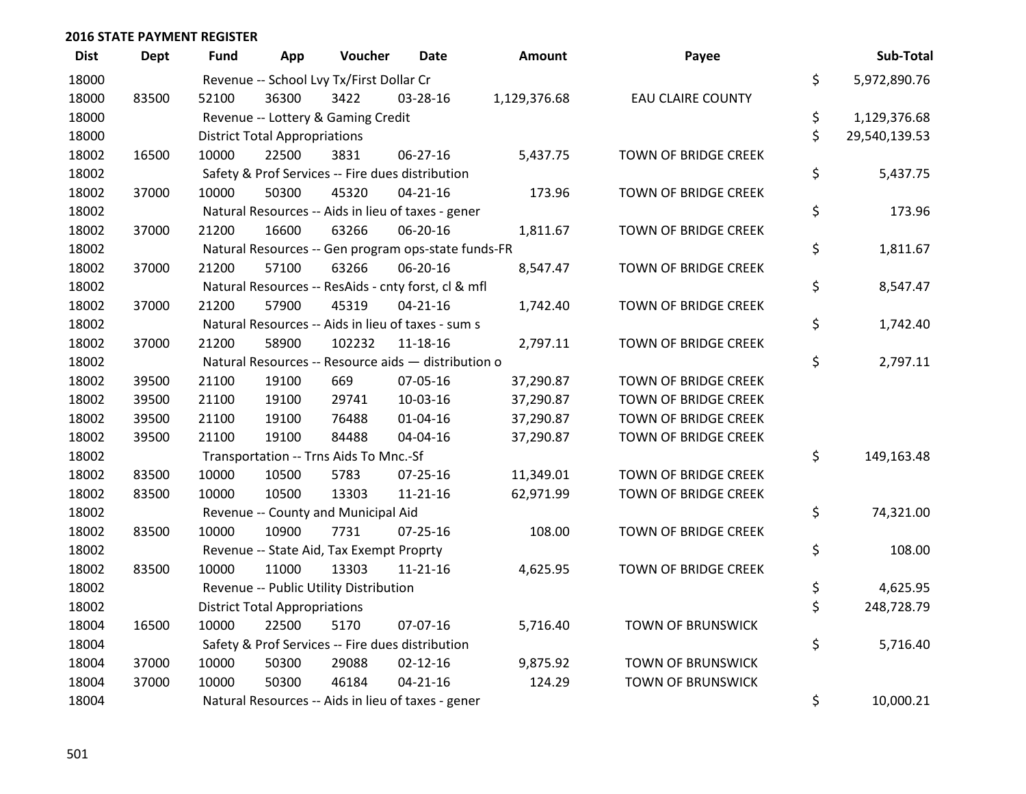| <b>Dist</b> | <b>Dept</b> | <b>Fund</b> | App                                  | Voucher                                             | Date           | <b>Amount</b> | Payee                       | Sub-Total           |
|-------------|-------------|-------------|--------------------------------------|-----------------------------------------------------|----------------|---------------|-----------------------------|---------------------|
| 18000       |             |             |                                      | Revenue -- School Lvy Tx/First Dollar Cr            |                |               |                             | \$<br>5,972,890.76  |
| 18000       | 83500       | 52100       | 36300                                | 3422                                                | 03-28-16       | 1,129,376.68  | <b>EAU CLAIRE COUNTY</b>    |                     |
| 18000       |             |             |                                      | Revenue -- Lottery & Gaming Credit                  |                |               |                             | \$<br>1,129,376.68  |
| 18000       |             |             | <b>District Total Appropriations</b> |                                                     |                |               |                             | \$<br>29,540,139.53 |
| 18002       | 16500       | 10000       | 22500                                | 3831                                                | 06-27-16       | 5,437.75      | <b>TOWN OF BRIDGE CREEK</b> |                     |
| 18002       |             |             |                                      | Safety & Prof Services -- Fire dues distribution    |                |               |                             | \$<br>5,437.75      |
| 18002       | 37000       | 10000       | 50300                                | 45320                                               | $04 - 21 - 16$ | 173.96        | TOWN OF BRIDGE CREEK        |                     |
| 18002       |             |             |                                      | Natural Resources -- Aids in lieu of taxes - gener  |                |               |                             | \$<br>173.96        |
| 18002       | 37000       | 21200       | 16600                                | 63266                                               | 06-20-16       | 1,811.67      | TOWN OF BRIDGE CREEK        |                     |
| 18002       |             |             |                                      | Natural Resources -- Gen program ops-state funds-FR |                |               |                             | \$<br>1,811.67      |
| 18002       | 37000       | 21200       | 57100                                | 63266                                               | 06-20-16       | 8,547.47      | TOWN OF BRIDGE CREEK        |                     |
| 18002       |             |             |                                      | Natural Resources -- ResAids - cnty forst, cl & mfl |                |               |                             | \$<br>8,547.47      |
| 18002       | 37000       | 21200       | 57900                                | 45319                                               | $04 - 21 - 16$ | 1,742.40      | TOWN OF BRIDGE CREEK        |                     |
| 18002       |             |             |                                      | Natural Resources -- Aids in lieu of taxes - sum s  |                |               |                             | \$<br>1,742.40      |
| 18002       | 37000       | 21200       | 58900                                | 102232                                              | 11-18-16       | 2,797.11      | TOWN OF BRIDGE CREEK        |                     |
| 18002       |             |             |                                      | Natural Resources -- Resource aids - distribution o |                |               |                             | \$<br>2,797.11      |
| 18002       | 39500       | 21100       | 19100                                | 669                                                 | 07-05-16       | 37,290.87     | <b>TOWN OF BRIDGE CREEK</b> |                     |
| 18002       | 39500       | 21100       | 19100                                | 29741                                               | 10-03-16       | 37,290.87     | TOWN OF BRIDGE CREEK        |                     |
| 18002       | 39500       | 21100       | 19100                                | 76488                                               | 01-04-16       | 37,290.87     | <b>TOWN OF BRIDGE CREEK</b> |                     |
| 18002       | 39500       | 21100       | 19100                                | 84488                                               | 04-04-16       | 37,290.87     | TOWN OF BRIDGE CREEK        |                     |
| 18002       |             |             |                                      | Transportation -- Trns Aids To Mnc.-Sf              |                |               |                             | \$<br>149,163.48    |
| 18002       | 83500       | 10000       | 10500                                | 5783                                                | $07 - 25 - 16$ | 11,349.01     | <b>TOWN OF BRIDGE CREEK</b> |                     |
| 18002       | 83500       | 10000       | 10500                                | 13303                                               | $11 - 21 - 16$ | 62,971.99     | TOWN OF BRIDGE CREEK        |                     |
| 18002       |             |             |                                      | Revenue -- County and Municipal Aid                 |                |               |                             | \$<br>74,321.00     |
| 18002       | 83500       | 10000       | 10900                                | 7731                                                | $07 - 25 - 16$ | 108.00        | TOWN OF BRIDGE CREEK        |                     |
| 18002       |             |             |                                      | Revenue -- State Aid, Tax Exempt Proprty            |                |               |                             | \$<br>108.00        |
| 18002       | 83500       | 10000       | 11000                                | 13303                                               | $11 - 21 - 16$ | 4,625.95      | TOWN OF BRIDGE CREEK        |                     |
| 18002       |             |             |                                      | Revenue -- Public Utility Distribution              |                |               |                             | \$<br>4,625.95      |
| 18002       |             |             | <b>District Total Appropriations</b> |                                                     |                |               |                             | \$<br>248,728.79    |
| 18004       | 16500       | 10000       | 22500                                | 5170                                                | 07-07-16       | 5,716.40      | <b>TOWN OF BRUNSWICK</b>    |                     |
| 18004       |             |             |                                      | Safety & Prof Services -- Fire dues distribution    |                |               |                             | \$<br>5,716.40      |
| 18004       | 37000       | 10000       | 50300                                | 29088                                               | $02 - 12 - 16$ | 9,875.92      | TOWN OF BRUNSWICK           |                     |
| 18004       | 37000       | 10000       | 50300                                | 46184                                               | $04 - 21 - 16$ | 124.29        | <b>TOWN OF BRUNSWICK</b>    |                     |
| 18004       |             |             |                                      | Natural Resources -- Aids in lieu of taxes - gener  |                |               |                             | \$<br>10,000.21     |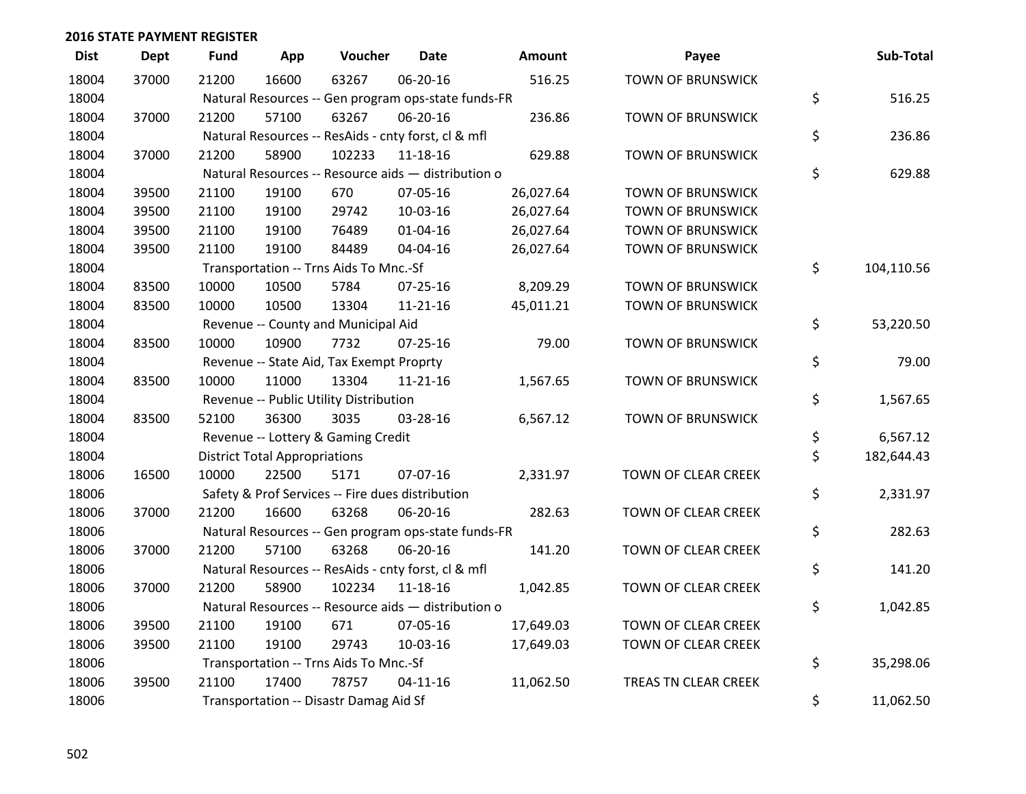| <b>Dist</b> | <b>Dept</b> | <b>Fund</b> | App                                  | Voucher                                             | <b>Date</b>    | Amount    | Payee                    | Sub-Total        |
|-------------|-------------|-------------|--------------------------------------|-----------------------------------------------------|----------------|-----------|--------------------------|------------------|
| 18004       | 37000       | 21200       | 16600                                | 63267                                               | 06-20-16       | 516.25    | <b>TOWN OF BRUNSWICK</b> |                  |
| 18004       |             |             |                                      | Natural Resources -- Gen program ops-state funds-FR |                |           |                          | \$<br>516.25     |
| 18004       | 37000       | 21200       | 57100                                | 63267                                               | 06-20-16       | 236.86    | <b>TOWN OF BRUNSWICK</b> |                  |
| 18004       |             |             |                                      | Natural Resources -- ResAids - cnty forst, cl & mfl |                |           |                          | \$<br>236.86     |
| 18004       | 37000       | 21200       | 58900                                | 102233                                              | $11 - 18 - 16$ | 629.88    | <b>TOWN OF BRUNSWICK</b> |                  |
| 18004       |             |             |                                      | Natural Resources -- Resource aids - distribution o |                |           |                          | \$<br>629.88     |
| 18004       | 39500       | 21100       | 19100                                | 670                                                 | 07-05-16       | 26,027.64 | <b>TOWN OF BRUNSWICK</b> |                  |
| 18004       | 39500       | 21100       | 19100                                | 29742                                               | 10-03-16       | 26,027.64 | <b>TOWN OF BRUNSWICK</b> |                  |
| 18004       | 39500       | 21100       | 19100                                | 76489                                               | 01-04-16       | 26,027.64 | <b>TOWN OF BRUNSWICK</b> |                  |
| 18004       | 39500       | 21100       | 19100                                | 84489                                               | 04-04-16       | 26,027.64 | <b>TOWN OF BRUNSWICK</b> |                  |
| 18004       |             |             |                                      | Transportation -- Trns Aids To Mnc.-Sf              |                |           |                          | \$<br>104,110.56 |
| 18004       | 83500       | 10000       | 10500                                | 5784                                                | $07 - 25 - 16$ | 8,209.29  | <b>TOWN OF BRUNSWICK</b> |                  |
| 18004       | 83500       | 10000       | 10500                                | 13304                                               | $11 - 21 - 16$ | 45,011.21 | <b>TOWN OF BRUNSWICK</b> |                  |
| 18004       |             |             |                                      | Revenue -- County and Municipal Aid                 |                |           |                          | \$<br>53,220.50  |
| 18004       | 83500       | 10000       | 10900                                | 7732                                                | $07 - 25 - 16$ | 79.00     | <b>TOWN OF BRUNSWICK</b> |                  |
| 18004       |             |             |                                      | Revenue -- State Aid, Tax Exempt Proprty            |                |           |                          | \$<br>79.00      |
| 18004       | 83500       | 10000       | 11000                                | 13304                                               | $11 - 21 - 16$ | 1,567.65  | <b>TOWN OF BRUNSWICK</b> |                  |
| 18004       |             |             |                                      | Revenue -- Public Utility Distribution              |                |           |                          | \$<br>1,567.65   |
| 18004       | 83500       | 52100       | 36300                                | 3035                                                | 03-28-16       | 6,567.12  | <b>TOWN OF BRUNSWICK</b> |                  |
| 18004       |             |             |                                      | Revenue -- Lottery & Gaming Credit                  |                |           |                          | \$<br>6,567.12   |
| 18004       |             |             | <b>District Total Appropriations</b> |                                                     |                |           |                          | \$<br>182,644.43 |
| 18006       | 16500       | 10000       | 22500                                | 5171                                                | 07-07-16       | 2,331.97  | TOWN OF CLEAR CREEK      |                  |
| 18006       |             |             |                                      | Safety & Prof Services -- Fire dues distribution    |                |           |                          | \$<br>2,331.97   |
| 18006       | 37000       | 21200       | 16600                                | 63268                                               | 06-20-16       | 282.63    | TOWN OF CLEAR CREEK      |                  |
| 18006       |             |             |                                      | Natural Resources -- Gen program ops-state funds-FR |                |           |                          | \$<br>282.63     |
| 18006       | 37000       | 21200       | 57100                                | 63268                                               | 06-20-16       | 141.20    | TOWN OF CLEAR CREEK      |                  |
| 18006       |             |             |                                      | Natural Resources -- ResAids - cnty forst, cl & mfl |                |           |                          | \$<br>141.20     |
| 18006       | 37000       | 21200       | 58900                                | 102234                                              | 11-18-16       | 1,042.85  | TOWN OF CLEAR CREEK      |                  |
| 18006       |             |             |                                      | Natural Resources -- Resource aids - distribution o |                |           |                          | \$<br>1,042.85   |
| 18006       | 39500       | 21100       | 19100                                | 671                                                 | 07-05-16       | 17,649.03 | TOWN OF CLEAR CREEK      |                  |
| 18006       | 39500       | 21100       | 19100                                | 29743                                               | 10-03-16       | 17,649.03 | TOWN OF CLEAR CREEK      |                  |
| 18006       |             |             |                                      | Transportation -- Trns Aids To Mnc.-Sf              |                |           |                          | \$<br>35,298.06  |
| 18006       | 39500       | 21100       | 17400                                | 78757                                               | $04 - 11 - 16$ | 11,062.50 | TREAS TN CLEAR CREEK     |                  |
| 18006       |             |             |                                      | Transportation -- Disastr Damag Aid Sf              |                |           |                          | \$<br>11,062.50  |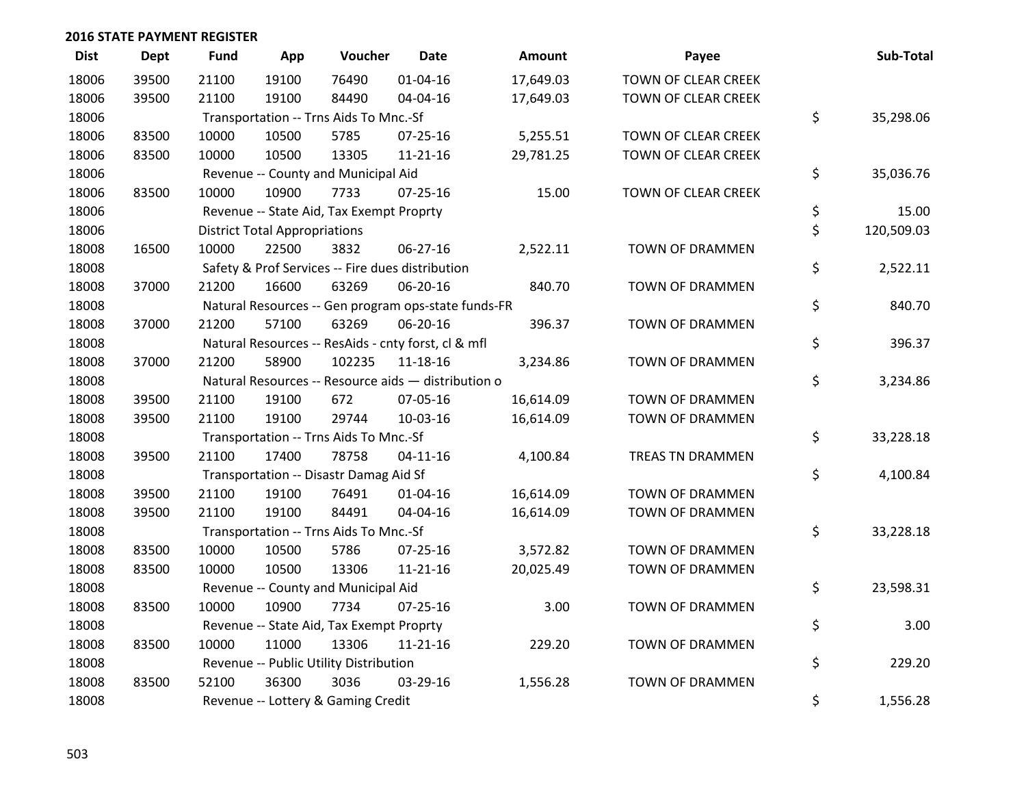| <b>Dist</b> | <b>Dept</b> | <b>Fund</b> | App                                  | Voucher                                  | Date                                                | Amount    | Payee                  | Sub-Total        |
|-------------|-------------|-------------|--------------------------------------|------------------------------------------|-----------------------------------------------------|-----------|------------------------|------------------|
| 18006       | 39500       | 21100       | 19100                                | 76490                                    | $01 - 04 - 16$                                      | 17,649.03 | TOWN OF CLEAR CREEK    |                  |
| 18006       | 39500       | 21100       | 19100                                | 84490                                    | 04-04-16                                            | 17,649.03 | TOWN OF CLEAR CREEK    |                  |
| 18006       |             |             |                                      | Transportation -- Trns Aids To Mnc.-Sf   |                                                     |           |                        | \$<br>35,298.06  |
| 18006       | 83500       | 10000       | 10500                                | 5785                                     | 07-25-16                                            | 5,255.51  | TOWN OF CLEAR CREEK    |                  |
| 18006       | 83500       | 10000       | 10500                                | 13305                                    | $11 - 21 - 16$                                      | 29,781.25 | TOWN OF CLEAR CREEK    |                  |
| 18006       |             |             |                                      | Revenue -- County and Municipal Aid      |                                                     |           |                        | \$<br>35,036.76  |
| 18006       | 83500       | 10000       | 10900                                | 7733                                     | $07 - 25 - 16$                                      | 15.00     | TOWN OF CLEAR CREEK    |                  |
| 18006       |             |             |                                      | Revenue -- State Aid, Tax Exempt Proprty |                                                     |           |                        | \$<br>15.00      |
| 18006       |             |             | <b>District Total Appropriations</b> |                                          |                                                     |           |                        | \$<br>120,509.03 |
| 18008       | 16500       | 10000       | 22500                                | 3832                                     | 06-27-16                                            | 2,522.11  | TOWN OF DRAMMEN        |                  |
| 18008       |             |             |                                      |                                          | Safety & Prof Services -- Fire dues distribution    |           |                        | \$<br>2,522.11   |
| 18008       | 37000       | 21200       | 16600                                | 63269                                    | 06-20-16                                            | 840.70    | TOWN OF DRAMMEN        |                  |
| 18008       |             |             |                                      |                                          | Natural Resources -- Gen program ops-state funds-FR |           |                        | \$<br>840.70     |
| 18008       | 37000       | 21200       | 57100                                | 63269                                    | 06-20-16                                            | 396.37    | TOWN OF DRAMMEN        |                  |
| 18008       |             |             |                                      |                                          | Natural Resources -- ResAids - cnty forst, cl & mfl |           |                        | \$<br>396.37     |
| 18008       | 37000       | 21200       | 58900                                | 102235                                   | 11-18-16                                            | 3,234.86  | TOWN OF DRAMMEN        |                  |
| 18008       |             |             |                                      |                                          | Natural Resources -- Resource aids - distribution o |           |                        | \$<br>3,234.86   |
| 18008       | 39500       | 21100       | 19100                                | 672                                      | 07-05-16                                            | 16,614.09 | <b>TOWN OF DRAMMEN</b> |                  |
| 18008       | 39500       | 21100       | 19100                                | 29744                                    | 10-03-16                                            | 16,614.09 | TOWN OF DRAMMEN        |                  |
| 18008       |             |             |                                      | Transportation -- Trns Aids To Mnc.-Sf   |                                                     |           |                        | \$<br>33,228.18  |
| 18008       | 39500       | 21100       | 17400                                | 78758                                    | $04 - 11 - 16$                                      | 4,100.84  | TREAS TN DRAMMEN       |                  |
| 18008       |             |             |                                      | Transportation -- Disastr Damag Aid Sf   |                                                     |           |                        | \$<br>4,100.84   |
| 18008       | 39500       | 21100       | 19100                                | 76491                                    | $01 - 04 - 16$                                      | 16,614.09 | TOWN OF DRAMMEN        |                  |
| 18008       | 39500       | 21100       | 19100                                | 84491                                    | 04-04-16                                            | 16,614.09 | TOWN OF DRAMMEN        |                  |
| 18008       |             |             |                                      | Transportation -- Trns Aids To Mnc.-Sf   |                                                     |           |                        | \$<br>33,228.18  |
| 18008       | 83500       | 10000       | 10500                                | 5786                                     | $07 - 25 - 16$                                      | 3,572.82  | TOWN OF DRAMMEN        |                  |
| 18008       | 83500       | 10000       | 10500                                | 13306                                    | 11-21-16                                            | 20,025.49 | TOWN OF DRAMMEN        |                  |
| 18008       |             |             |                                      | Revenue -- County and Municipal Aid      |                                                     |           |                        | \$<br>23,598.31  |
| 18008       | 83500       | 10000       | 10900                                | 7734                                     | $07 - 25 - 16$                                      | 3.00      | TOWN OF DRAMMEN        |                  |
| 18008       |             |             |                                      | Revenue -- State Aid, Tax Exempt Proprty |                                                     |           |                        | \$<br>3.00       |
| 18008       | 83500       | 10000       | 11000                                | 13306                                    | $11 - 21 - 16$                                      | 229.20    | TOWN OF DRAMMEN        |                  |
| 18008       |             |             |                                      | Revenue -- Public Utility Distribution   |                                                     |           |                        | \$<br>229.20     |
| 18008       | 83500       | 52100       | 36300                                | 3036                                     | 03-29-16                                            | 1,556.28  | TOWN OF DRAMMEN        |                  |
| 18008       |             |             |                                      | Revenue -- Lottery & Gaming Credit       |                                                     |           |                        | \$<br>1,556.28   |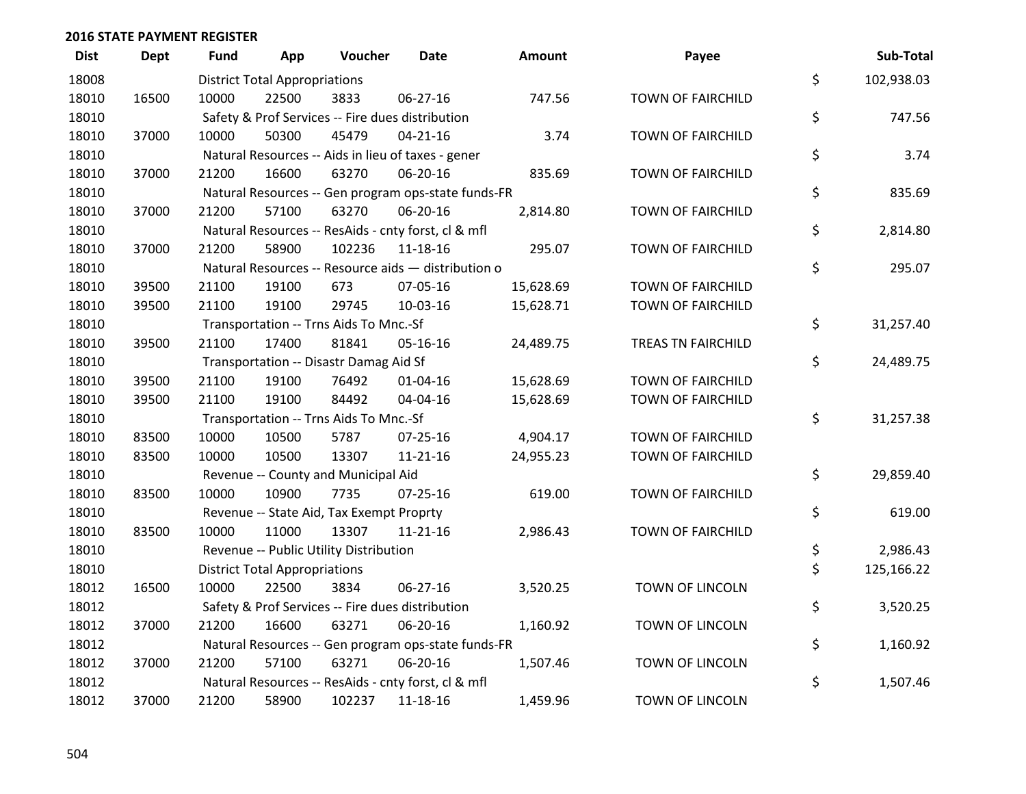| <b>Dist</b> | <b>Dept</b> | <b>Fund</b> | App                                  | Voucher                                  | <b>Date</b>                                         | <b>Amount</b> | Payee                    | Sub-Total        |
|-------------|-------------|-------------|--------------------------------------|------------------------------------------|-----------------------------------------------------|---------------|--------------------------|------------------|
| 18008       |             |             | <b>District Total Appropriations</b> |                                          |                                                     |               |                          | \$<br>102,938.03 |
| 18010       | 16500       | 10000       | 22500                                | 3833                                     | 06-27-16                                            | 747.56        | <b>TOWN OF FAIRCHILD</b> |                  |
| 18010       |             |             |                                      |                                          | Safety & Prof Services -- Fire dues distribution    |               |                          | \$<br>747.56     |
| 18010       | 37000       | 10000       | 50300                                | 45479                                    | $04 - 21 - 16$                                      | 3.74          | TOWN OF FAIRCHILD        |                  |
| 18010       |             |             |                                      |                                          | Natural Resources -- Aids in lieu of taxes - gener  |               |                          | \$<br>3.74       |
| 18010       | 37000       | 21200       | 16600                                | 63270                                    | 06-20-16                                            | 835.69        | <b>TOWN OF FAIRCHILD</b> |                  |
| 18010       |             |             |                                      |                                          | Natural Resources -- Gen program ops-state funds-FR |               |                          | \$<br>835.69     |
| 18010       | 37000       | 21200       | 57100                                | 63270                                    | 06-20-16                                            | 2,814.80      | TOWN OF FAIRCHILD        |                  |
| 18010       |             |             |                                      |                                          | Natural Resources -- ResAids - cnty forst, cl & mfl |               |                          | \$<br>2,814.80   |
| 18010       | 37000       | 21200       | 58900                                | 102236                                   | 11-18-16                                            | 295.07        | TOWN OF FAIRCHILD        |                  |
| 18010       |             |             |                                      |                                          | Natural Resources -- Resource aids - distribution o |               |                          | \$<br>295.07     |
| 18010       | 39500       | 21100       | 19100                                | 673                                      | 07-05-16                                            | 15,628.69     | <b>TOWN OF FAIRCHILD</b> |                  |
| 18010       | 39500       | 21100       | 19100                                | 29745                                    | 10-03-16                                            | 15,628.71     | TOWN OF FAIRCHILD        |                  |
| 18010       |             |             |                                      | Transportation -- Trns Aids To Mnc.-Sf   |                                                     |               |                          | \$<br>31,257.40  |
| 18010       | 39500       | 21100       | 17400                                | 81841                                    | 05-16-16                                            | 24,489.75     | TREAS TN FAIRCHILD       |                  |
| 18010       |             |             |                                      | Transportation -- Disastr Damag Aid Sf   |                                                     |               |                          | \$<br>24,489.75  |
| 18010       | 39500       | 21100       | 19100                                | 76492                                    | $01 - 04 - 16$                                      | 15,628.69     | TOWN OF FAIRCHILD        |                  |
| 18010       | 39500       | 21100       | 19100                                | 84492                                    | 04-04-16                                            | 15,628.69     | TOWN OF FAIRCHILD        |                  |
| 18010       |             |             |                                      | Transportation -- Trns Aids To Mnc.-Sf   |                                                     |               |                          | \$<br>31,257.38  |
| 18010       | 83500       | 10000       | 10500                                | 5787                                     | 07-25-16                                            | 4,904.17      | TOWN OF FAIRCHILD        |                  |
| 18010       | 83500       | 10000       | 10500                                | 13307                                    | $11 - 21 - 16$                                      | 24,955.23     | TOWN OF FAIRCHILD        |                  |
| 18010       |             |             |                                      | Revenue -- County and Municipal Aid      |                                                     |               |                          | \$<br>29,859.40  |
| 18010       | 83500       | 10000       | 10900                                | 7735                                     | $07 - 25 - 16$                                      | 619.00        | <b>TOWN OF FAIRCHILD</b> |                  |
| 18010       |             |             |                                      | Revenue -- State Aid, Tax Exempt Proprty |                                                     |               |                          | \$<br>619.00     |
| 18010       | 83500       | 10000       | 11000                                | 13307                                    | $11 - 21 - 16$                                      | 2,986.43      | <b>TOWN OF FAIRCHILD</b> |                  |
| 18010       |             |             |                                      | Revenue -- Public Utility Distribution   |                                                     |               |                          | \$<br>2,986.43   |
| 18010       |             |             | <b>District Total Appropriations</b> |                                          |                                                     |               |                          | \$<br>125,166.22 |
| 18012       | 16500       | 10000       | 22500                                | 3834                                     | 06-27-16                                            | 3,520.25      | TOWN OF LINCOLN          |                  |
| 18012       |             |             |                                      |                                          | Safety & Prof Services -- Fire dues distribution    |               |                          | \$<br>3,520.25   |
| 18012       | 37000       | 21200       | 16600                                | 63271                                    | 06-20-16                                            | 1,160.92      | <b>TOWN OF LINCOLN</b>   |                  |
| 18012       |             |             |                                      |                                          | Natural Resources -- Gen program ops-state funds-FR |               |                          | \$<br>1,160.92   |
| 18012       | 37000       | 21200       | 57100                                | 63271                                    | 06-20-16                                            | 1,507.46      | TOWN OF LINCOLN          |                  |
| 18012       |             |             |                                      |                                          | Natural Resources -- ResAids - cnty forst, cl & mfl |               |                          | \$<br>1,507.46   |
| 18012       | 37000       | 21200       | 58900                                | 102237                                   | 11-18-16                                            | 1,459.96      | <b>TOWN OF LINCOLN</b>   |                  |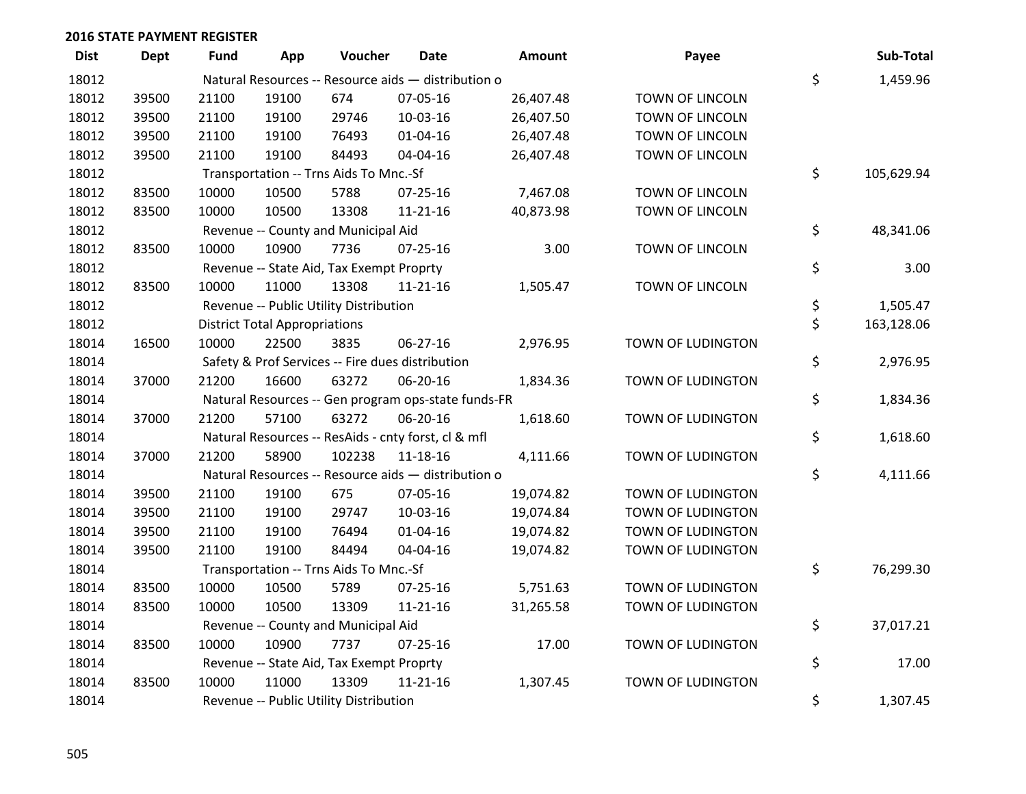| <b>Dist</b> | <b>Dept</b> | <b>Fund</b> | App                                  | Voucher                                  | Date                                                | Amount    | Payee             | Sub-Total        |
|-------------|-------------|-------------|--------------------------------------|------------------------------------------|-----------------------------------------------------|-----------|-------------------|------------------|
| 18012       |             |             |                                      |                                          | Natural Resources -- Resource aids - distribution o |           |                   | \$<br>1,459.96   |
| 18012       | 39500       | 21100       | 19100                                | 674                                      | 07-05-16                                            | 26,407.48 | TOWN OF LINCOLN   |                  |
| 18012       | 39500       | 21100       | 19100                                | 29746                                    | 10-03-16                                            | 26,407.50 | TOWN OF LINCOLN   |                  |
| 18012       | 39500       | 21100       | 19100                                | 76493                                    | $01 - 04 - 16$                                      | 26,407.48 | TOWN OF LINCOLN   |                  |
| 18012       | 39500       | 21100       | 19100                                | 84493                                    | 04-04-16                                            | 26,407.48 | TOWN OF LINCOLN   |                  |
| 18012       |             |             |                                      | Transportation -- Trns Aids To Mnc.-Sf   |                                                     |           |                   | \$<br>105,629.94 |
| 18012       | 83500       | 10000       | 10500                                | 5788                                     | $07 - 25 - 16$                                      | 7,467.08  | TOWN OF LINCOLN   |                  |
| 18012       | 83500       | 10000       | 10500                                | 13308                                    | $11 - 21 - 16$                                      | 40,873.98 | TOWN OF LINCOLN   |                  |
| 18012       |             |             |                                      | Revenue -- County and Municipal Aid      |                                                     |           |                   | \$<br>48,341.06  |
| 18012       | 83500       | 10000       | 10900                                | 7736                                     | $07 - 25 - 16$                                      | 3.00      | TOWN OF LINCOLN   |                  |
| 18012       |             |             |                                      | Revenue -- State Aid, Tax Exempt Proprty |                                                     |           |                   | \$<br>3.00       |
| 18012       | 83500       | 10000       | 11000                                | 13308                                    | $11 - 21 - 16$                                      | 1,505.47  | TOWN OF LINCOLN   |                  |
| 18012       |             |             |                                      | Revenue -- Public Utility Distribution   |                                                     |           |                   | \$<br>1,505.47   |
| 18012       |             |             | <b>District Total Appropriations</b> |                                          |                                                     |           |                   | \$<br>163,128.06 |
| 18014       | 16500       | 10000       | 22500                                | 3835                                     | 06-27-16                                            | 2,976.95  | TOWN OF LUDINGTON |                  |
| 18014       |             |             |                                      |                                          | Safety & Prof Services -- Fire dues distribution    |           |                   | \$<br>2,976.95   |
| 18014       | 37000       | 21200       | 16600                                | 63272                                    | 06-20-16                                            | 1,834.36  | TOWN OF LUDINGTON |                  |
| 18014       |             |             |                                      |                                          | Natural Resources -- Gen program ops-state funds-FR |           |                   | \$<br>1,834.36   |
| 18014       | 37000       | 21200       | 57100                                | 63272                                    | 06-20-16                                            | 1,618.60  | TOWN OF LUDINGTON |                  |
| 18014       |             |             |                                      |                                          | Natural Resources -- ResAids - cnty forst, cl & mfl |           |                   | \$<br>1,618.60   |
| 18014       | 37000       | 21200       | 58900                                | 102238                                   | $11 - 18 - 16$                                      | 4,111.66  | TOWN OF LUDINGTON |                  |
| 18014       |             |             |                                      |                                          | Natural Resources -- Resource aids - distribution o |           |                   | \$<br>4,111.66   |
| 18014       | 39500       | 21100       | 19100                                | 675                                      | 07-05-16                                            | 19,074.82 | TOWN OF LUDINGTON |                  |
| 18014       | 39500       | 21100       | 19100                                | 29747                                    | 10-03-16                                            | 19,074.84 | TOWN OF LUDINGTON |                  |
| 18014       | 39500       | 21100       | 19100                                | 76494                                    | $01 - 04 - 16$                                      | 19,074.82 | TOWN OF LUDINGTON |                  |
| 18014       | 39500       | 21100       | 19100                                | 84494                                    | 04-04-16                                            | 19,074.82 | TOWN OF LUDINGTON |                  |
| 18014       |             |             |                                      | Transportation -- Trns Aids To Mnc.-Sf   |                                                     |           |                   | \$<br>76,299.30  |
| 18014       | 83500       | 10000       | 10500                                | 5789                                     | $07 - 25 - 16$                                      | 5,751.63  | TOWN OF LUDINGTON |                  |
| 18014       | 83500       | 10000       | 10500                                | 13309                                    | $11 - 21 - 16$                                      | 31,265.58 | TOWN OF LUDINGTON |                  |
| 18014       |             |             |                                      | Revenue -- County and Municipal Aid      |                                                     |           |                   | \$<br>37,017.21  |
| 18014       | 83500       | 10000       | 10900                                | 7737                                     | $07 - 25 - 16$                                      | 17.00     | TOWN OF LUDINGTON |                  |
| 18014       |             |             |                                      | Revenue -- State Aid, Tax Exempt Proprty |                                                     |           |                   | \$<br>17.00      |
| 18014       | 83500       | 10000       | 11000                                | 13309                                    | $11 - 21 - 16$                                      | 1,307.45  | TOWN OF LUDINGTON |                  |
| 18014       |             |             |                                      | Revenue -- Public Utility Distribution   |                                                     |           |                   | \$<br>1,307.45   |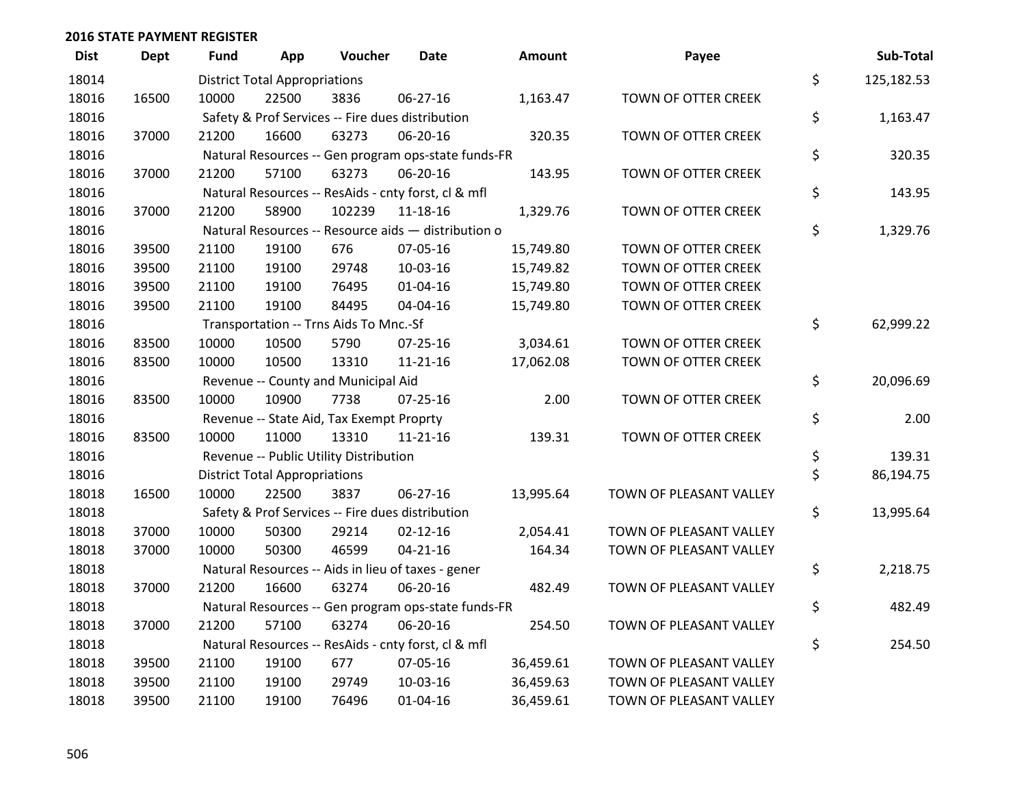| <b>Dist</b> | Dept  | Fund  | App                                  | Voucher                                             | <b>Date</b>    | <b>Amount</b> | Payee                   | Sub-Total        |
|-------------|-------|-------|--------------------------------------|-----------------------------------------------------|----------------|---------------|-------------------------|------------------|
| 18014       |       |       | <b>District Total Appropriations</b> |                                                     |                |               |                         | \$<br>125,182.53 |
| 18016       | 16500 | 10000 | 22500                                | 3836                                                | 06-27-16       | 1,163.47      | TOWN OF OTTER CREEK     |                  |
| 18016       |       |       |                                      | Safety & Prof Services -- Fire dues distribution    |                |               |                         | \$<br>1,163.47   |
| 18016       | 37000 | 21200 | 16600                                | 63273                                               | 06-20-16       | 320.35        | TOWN OF OTTER CREEK     |                  |
| 18016       |       |       |                                      | Natural Resources -- Gen program ops-state funds-FR |                |               |                         | \$<br>320.35     |
| 18016       | 37000 | 21200 | 57100                                | 63273                                               | 06-20-16       | 143.95        | TOWN OF OTTER CREEK     |                  |
| 18016       |       |       |                                      | Natural Resources -- ResAids - cnty forst, cl & mfl |                |               |                         | \$<br>143.95     |
| 18016       | 37000 | 21200 | 58900                                | 102239                                              | 11-18-16       | 1,329.76      | TOWN OF OTTER CREEK     |                  |
| 18016       |       |       |                                      | Natural Resources -- Resource aids - distribution o |                |               |                         | \$<br>1,329.76   |
| 18016       | 39500 | 21100 | 19100                                | 676                                                 | 07-05-16       | 15,749.80     | TOWN OF OTTER CREEK     |                  |
| 18016       | 39500 | 21100 | 19100                                | 29748                                               | 10-03-16       | 15,749.82     | TOWN OF OTTER CREEK     |                  |
| 18016       | 39500 | 21100 | 19100                                | 76495                                               | 01-04-16       | 15,749.80     | TOWN OF OTTER CREEK     |                  |
| 18016       | 39500 | 21100 | 19100                                | 84495                                               | 04-04-16       | 15,749.80     | TOWN OF OTTER CREEK     |                  |
| 18016       |       |       |                                      | Transportation -- Trns Aids To Mnc.-Sf              |                |               |                         | \$<br>62,999.22  |
| 18016       | 83500 | 10000 | 10500                                | 5790                                                | $07 - 25 - 16$ | 3,034.61      | TOWN OF OTTER CREEK     |                  |
| 18016       | 83500 | 10000 | 10500                                | 13310                                               | 11-21-16       | 17,062.08     | TOWN OF OTTER CREEK     |                  |
| 18016       |       |       |                                      | Revenue -- County and Municipal Aid                 |                |               |                         | \$<br>20,096.69  |
| 18016       | 83500 | 10000 | 10900                                | 7738                                                | $07 - 25 - 16$ | 2.00          | TOWN OF OTTER CREEK     |                  |
| 18016       |       |       |                                      | Revenue -- State Aid, Tax Exempt Proprty            |                |               |                         | \$<br>2.00       |
| 18016       | 83500 | 10000 | 11000                                | 13310                                               | $11 - 21 - 16$ | 139.31        | TOWN OF OTTER CREEK     |                  |
| 18016       |       |       |                                      | Revenue -- Public Utility Distribution              |                |               |                         | \$<br>139.31     |
| 18016       |       |       | <b>District Total Appropriations</b> |                                                     |                |               |                         | \$<br>86,194.75  |
| 18018       | 16500 | 10000 | 22500                                | 3837                                                | 06-27-16       | 13,995.64     | TOWN OF PLEASANT VALLEY |                  |
| 18018       |       |       |                                      | Safety & Prof Services -- Fire dues distribution    |                |               |                         | \$<br>13,995.64  |
| 18018       | 37000 | 10000 | 50300                                | 29214                                               | $02 - 12 - 16$ | 2,054.41      | TOWN OF PLEASANT VALLEY |                  |
| 18018       | 37000 | 10000 | 50300                                | 46599                                               | $04 - 21 - 16$ | 164.34        | TOWN OF PLEASANT VALLEY |                  |
| 18018       |       |       |                                      | Natural Resources -- Aids in lieu of taxes - gener  |                |               |                         | \$<br>2,218.75   |
| 18018       | 37000 | 21200 | 16600                                | 63274                                               | 06-20-16       | 482.49        | TOWN OF PLEASANT VALLEY |                  |
| 18018       |       |       |                                      | Natural Resources -- Gen program ops-state funds-FR |                |               |                         | \$<br>482.49     |
| 18018       | 37000 | 21200 | 57100                                | 63274                                               | 06-20-16       | 254.50        | TOWN OF PLEASANT VALLEY |                  |
| 18018       |       |       |                                      | Natural Resources -- ResAids - cnty forst, cl & mfl |                |               |                         | \$<br>254.50     |
| 18018       | 39500 | 21100 | 19100                                | 677                                                 | 07-05-16       | 36,459.61     | TOWN OF PLEASANT VALLEY |                  |
| 18018       | 39500 | 21100 | 19100                                | 29749                                               | 10-03-16       | 36,459.63     | TOWN OF PLEASANT VALLEY |                  |
| 18018       | 39500 | 21100 | 19100                                | 76496                                               | $01 - 04 - 16$ | 36,459.61     | TOWN OF PLEASANT VALLEY |                  |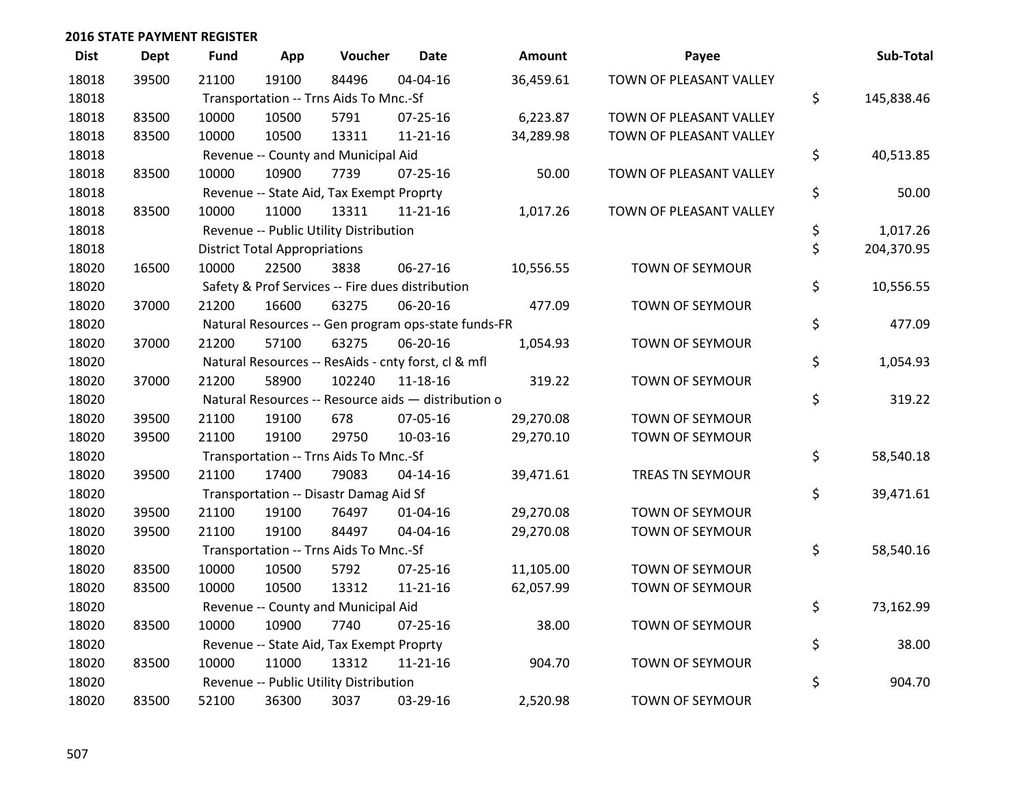| <b>Dist</b> | <b>Dept</b> | <b>Fund</b> | App                                  | Voucher                                             | <b>Date</b>    | Amount    | Payee                   | Sub-Total        |
|-------------|-------------|-------------|--------------------------------------|-----------------------------------------------------|----------------|-----------|-------------------------|------------------|
| 18018       | 39500       | 21100       | 19100                                | 84496                                               | 04-04-16       | 36,459.61 | TOWN OF PLEASANT VALLEY |                  |
| 18018       |             |             |                                      | Transportation -- Trns Aids To Mnc.-Sf              |                |           |                         | \$<br>145,838.46 |
| 18018       | 83500       | 10000       | 10500                                | 5791                                                | $07 - 25 - 16$ | 6,223.87  | TOWN OF PLEASANT VALLEY |                  |
| 18018       | 83500       | 10000       | 10500                                | 13311                                               | $11 - 21 - 16$ | 34,289.98 | TOWN OF PLEASANT VALLEY |                  |
| 18018       |             |             |                                      | Revenue -- County and Municipal Aid                 |                |           |                         | \$<br>40,513.85  |
| 18018       | 83500       | 10000       | 10900                                | 7739                                                | 07-25-16       | 50.00     | TOWN OF PLEASANT VALLEY |                  |
| 18018       |             |             |                                      | Revenue -- State Aid, Tax Exempt Proprty            |                |           |                         | \$<br>50.00      |
| 18018       | 83500       | 10000       | 11000                                | 13311                                               | $11 - 21 - 16$ | 1,017.26  | TOWN OF PLEASANT VALLEY |                  |
| 18018       |             |             |                                      | Revenue -- Public Utility Distribution              |                |           |                         | \$<br>1,017.26   |
| 18018       |             |             | <b>District Total Appropriations</b> |                                                     |                |           |                         | \$<br>204,370.95 |
| 18020       | 16500       | 10000       | 22500                                | 3838                                                | 06-27-16       | 10,556.55 | <b>TOWN OF SEYMOUR</b>  |                  |
| 18020       |             |             |                                      | Safety & Prof Services -- Fire dues distribution    |                |           |                         | \$<br>10,556.55  |
| 18020       | 37000       | 21200       | 16600                                | 63275                                               | 06-20-16       | 477.09    | TOWN OF SEYMOUR         |                  |
| 18020       |             |             |                                      | Natural Resources -- Gen program ops-state funds-FR |                |           |                         | \$<br>477.09     |
| 18020       | 37000       | 21200       | 57100                                | 63275                                               | 06-20-16       | 1,054.93  | <b>TOWN OF SEYMOUR</b>  |                  |
| 18020       |             |             |                                      | Natural Resources -- ResAids - cnty forst, cl & mfl |                |           |                         | \$<br>1,054.93   |
| 18020       | 37000       | 21200       | 58900                                | 102240                                              | 11-18-16       | 319.22    | TOWN OF SEYMOUR         |                  |
| 18020       |             |             |                                      | Natural Resources -- Resource aids - distribution o |                |           |                         | \$<br>319.22     |
| 18020       | 39500       | 21100       | 19100                                | 678                                                 | 07-05-16       | 29,270.08 | <b>TOWN OF SEYMOUR</b>  |                  |
| 18020       | 39500       | 21100       | 19100                                | 29750                                               | 10-03-16       | 29,270.10 | TOWN OF SEYMOUR         |                  |
| 18020       |             |             |                                      | Transportation -- Trns Aids To Mnc.-Sf              |                |           |                         | \$<br>58,540.18  |
| 18020       | 39500       | 21100       | 17400                                | 79083                                               | $04 - 14 - 16$ | 39,471.61 | <b>TREAS TN SEYMOUR</b> |                  |
| 18020       |             |             |                                      | Transportation -- Disastr Damag Aid Sf              |                |           |                         | \$<br>39,471.61  |
| 18020       | 39500       | 21100       | 19100                                | 76497                                               | $01 - 04 - 16$ | 29,270.08 | <b>TOWN OF SEYMOUR</b>  |                  |
| 18020       | 39500       | 21100       | 19100                                | 84497                                               | 04-04-16       | 29,270.08 | TOWN OF SEYMOUR         |                  |
| 18020       |             |             |                                      | Transportation -- Trns Aids To Mnc.-Sf              |                |           |                         | \$<br>58,540.16  |
| 18020       | 83500       | 10000       | 10500                                | 5792                                                | $07 - 25 - 16$ | 11,105.00 | <b>TOWN OF SEYMOUR</b>  |                  |
| 18020       | 83500       | 10000       | 10500                                | 13312                                               | $11 - 21 - 16$ | 62,057.99 | TOWN OF SEYMOUR         |                  |
| 18020       |             |             |                                      | Revenue -- County and Municipal Aid                 |                |           |                         | \$<br>73,162.99  |
| 18020       | 83500       | 10000       | 10900                                | 7740                                                | $07 - 25 - 16$ | 38.00     | TOWN OF SEYMOUR         |                  |
| 18020       |             |             |                                      | Revenue -- State Aid, Tax Exempt Proprty            |                |           |                         | \$<br>38.00      |
| 18020       | 83500       | 10000       | 11000                                | 13312                                               | $11 - 21 - 16$ | 904.70    | <b>TOWN OF SEYMOUR</b>  |                  |
| 18020       |             |             |                                      | Revenue -- Public Utility Distribution              |                |           |                         | \$<br>904.70     |
| 18020       | 83500       | 52100       | 36300                                | 3037                                                | 03-29-16       | 2,520.98  | <b>TOWN OF SEYMOUR</b>  |                  |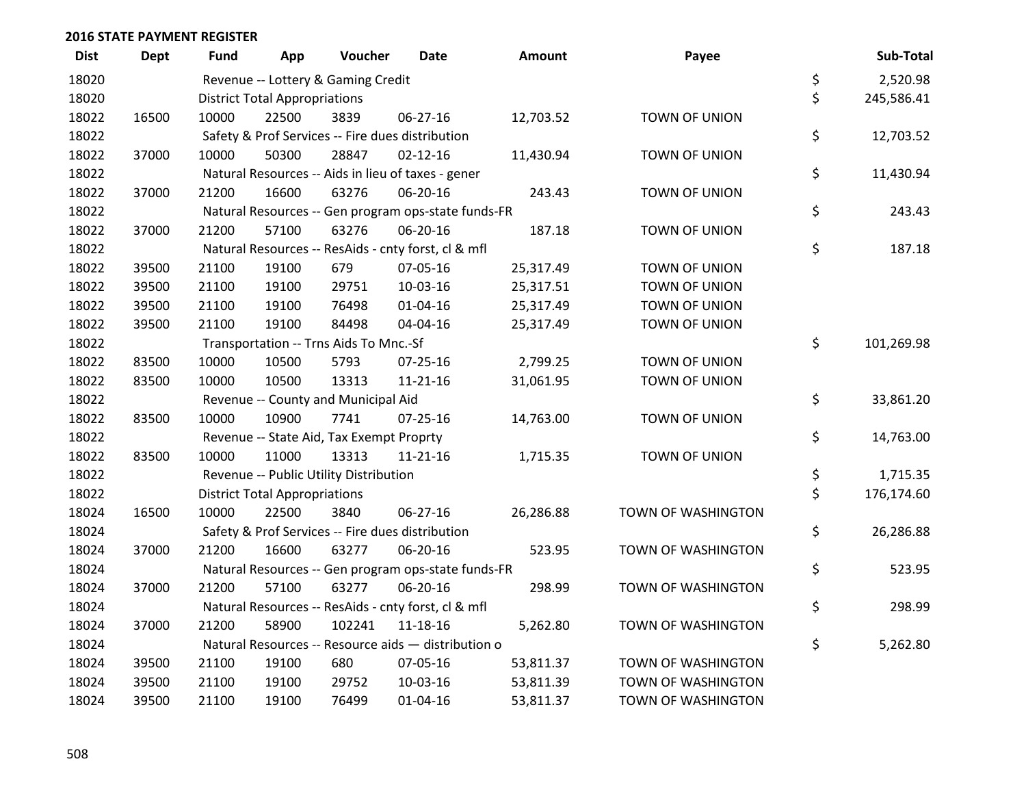| <b>Dist</b> | Dept  | <b>Fund</b> | App                                  | Voucher                                             | <b>Date</b>    | <b>Amount</b> | Payee                | Sub-Total        |
|-------------|-------|-------------|--------------------------------------|-----------------------------------------------------|----------------|---------------|----------------------|------------------|
| 18020       |       |             |                                      | Revenue -- Lottery & Gaming Credit                  |                |               |                      | \$<br>2,520.98   |
| 18020       |       |             | <b>District Total Appropriations</b> |                                                     |                |               |                      | \$<br>245,586.41 |
| 18022       | 16500 | 10000       | 22500                                | 3839                                                | 06-27-16       | 12,703.52     | TOWN OF UNION        |                  |
| 18022       |       |             |                                      | Safety & Prof Services -- Fire dues distribution    |                |               |                      | \$<br>12,703.52  |
| 18022       | 37000 | 10000       | 50300                                | 28847                                               | $02 - 12 - 16$ | 11,430.94     | TOWN OF UNION        |                  |
| 18022       |       |             |                                      | Natural Resources -- Aids in lieu of taxes - gener  |                |               |                      | \$<br>11,430.94  |
| 18022       | 37000 | 21200       | 16600                                | 63276                                               | 06-20-16       | 243.43        | TOWN OF UNION        |                  |
| 18022       |       |             |                                      | Natural Resources -- Gen program ops-state funds-FR |                |               |                      | \$<br>243.43     |
| 18022       | 37000 | 21200       | 57100                                | 63276                                               | 06-20-16       | 187.18        | TOWN OF UNION        |                  |
| 18022       |       |             |                                      | Natural Resources -- ResAids - cnty forst, cl & mfl |                |               |                      | \$<br>187.18     |
| 18022       | 39500 | 21100       | 19100                                | 679                                                 | 07-05-16       | 25,317.49     | TOWN OF UNION        |                  |
| 18022       | 39500 | 21100       | 19100                                | 29751                                               | 10-03-16       | 25,317.51     | TOWN OF UNION        |                  |
| 18022       | 39500 | 21100       | 19100                                | 76498                                               | $01 - 04 - 16$ | 25,317.49     | <b>TOWN OF UNION</b> |                  |
| 18022       | 39500 | 21100       | 19100                                | 84498                                               | 04-04-16       | 25,317.49     | TOWN OF UNION        |                  |
| 18022       |       |             |                                      | Transportation -- Trns Aids To Mnc.-Sf              |                |               |                      | \$<br>101,269.98 |
| 18022       | 83500 | 10000       | 10500                                | 5793                                                | $07 - 25 - 16$ | 2,799.25      | TOWN OF UNION        |                  |
| 18022       | 83500 | 10000       | 10500                                | 13313                                               | 11-21-16       | 31,061.95     | TOWN OF UNION        |                  |
| 18022       |       |             |                                      | Revenue -- County and Municipal Aid                 |                |               |                      | \$<br>33,861.20  |
| 18022       | 83500 | 10000       | 10900                                | 7741                                                | $07 - 25 - 16$ | 14,763.00     | TOWN OF UNION        |                  |
| 18022       |       |             |                                      | Revenue -- State Aid, Tax Exempt Proprty            |                |               |                      | \$<br>14,763.00  |
| 18022       | 83500 | 10000       | 11000                                | 13313                                               | $11 - 21 - 16$ | 1,715.35      | TOWN OF UNION        |                  |
| 18022       |       |             |                                      | Revenue -- Public Utility Distribution              |                |               |                      | \$<br>1,715.35   |
| 18022       |       |             | <b>District Total Appropriations</b> |                                                     |                |               |                      | \$<br>176,174.60 |
| 18024       | 16500 | 10000       | 22500                                | 3840                                                | 06-27-16       | 26,286.88     | TOWN OF WASHINGTON   |                  |
| 18024       |       |             |                                      | Safety & Prof Services -- Fire dues distribution    |                |               |                      | \$<br>26,286.88  |
| 18024       | 37000 | 21200       | 16600                                | 63277                                               | 06-20-16       | 523.95        | TOWN OF WASHINGTON   |                  |
| 18024       |       |             |                                      | Natural Resources -- Gen program ops-state funds-FR |                |               |                      | \$<br>523.95     |
| 18024       | 37000 | 21200       | 57100                                | 63277                                               | 06-20-16       | 298.99        | TOWN OF WASHINGTON   |                  |
| 18024       |       |             |                                      | Natural Resources -- ResAids - cnty forst, cl & mfl |                |               |                      | \$<br>298.99     |
| 18024       | 37000 | 21200       | 58900                                | 102241                                              | 11-18-16       | 5,262.80      | TOWN OF WASHINGTON   |                  |
| 18024       |       |             |                                      | Natural Resources -- Resource aids - distribution o |                |               |                      | \$<br>5,262.80   |
| 18024       | 39500 | 21100       | 19100                                | 680                                                 | 07-05-16       | 53,811.37     | TOWN OF WASHINGTON   |                  |
| 18024       | 39500 | 21100       | 19100                                | 29752                                               | 10-03-16       | 53,811.39     | TOWN OF WASHINGTON   |                  |
| 18024       | 39500 | 21100       | 19100                                | 76499                                               | $01 - 04 - 16$ | 53,811.37     | TOWN OF WASHINGTON   |                  |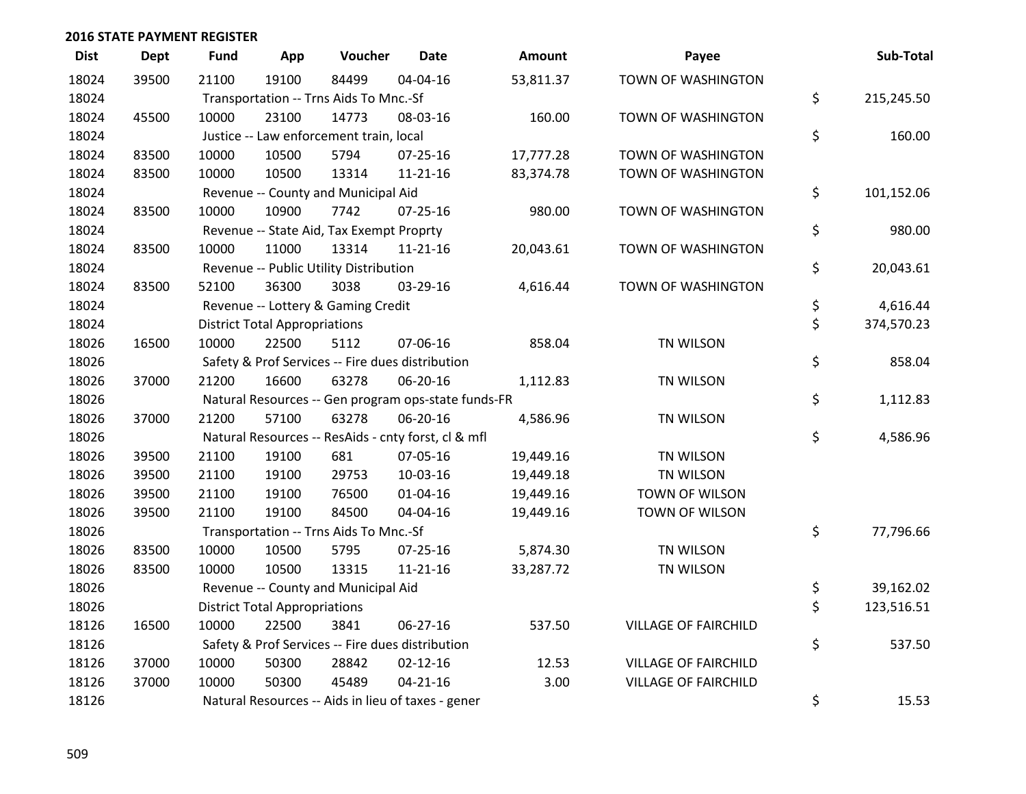| <b>Dist</b> | <b>Dept</b> | <b>Fund</b>                         | App                                  | Voucher                                  | <b>Date</b>                                         | Amount    | Payee                       | Sub-Total        |
|-------------|-------------|-------------------------------------|--------------------------------------|------------------------------------------|-----------------------------------------------------|-----------|-----------------------------|------------------|
| 18024       | 39500       | 21100                               | 19100                                | 84499                                    | 04-04-16                                            | 53,811.37 | TOWN OF WASHINGTON          |                  |
| 18024       |             |                                     |                                      | Transportation -- Trns Aids To Mnc.-Sf   |                                                     |           |                             | \$<br>215,245.50 |
| 18024       | 45500       | 10000                               | 23100                                | 14773                                    | 08-03-16                                            | 160.00    | TOWN OF WASHINGTON          |                  |
| 18024       |             |                                     |                                      | Justice -- Law enforcement train, local  |                                                     |           |                             | \$<br>160.00     |
| 18024       | 83500       | 10000                               | 10500                                | 5794                                     | 07-25-16                                            | 17,777.28 | TOWN OF WASHINGTON          |                  |
| 18024       | 83500       | 10000                               | 10500                                | 13314                                    | $11 - 21 - 16$                                      | 83,374.78 | TOWN OF WASHINGTON          |                  |
| 18024       |             | Revenue -- County and Municipal Aid | \$<br>101,152.06                     |                                          |                                                     |           |                             |                  |
| 18024       | 83500       | 10000                               | 10900                                | 7742                                     | $07 - 25 - 16$                                      | 980.00    | TOWN OF WASHINGTON          |                  |
| 18024       |             |                                     |                                      | Revenue -- State Aid, Tax Exempt Proprty |                                                     |           |                             | \$<br>980.00     |
| 18024       | 83500       | 10000                               | 11000                                | 13314                                    | $11 - 21 - 16$                                      | 20,043.61 | TOWN OF WASHINGTON          |                  |
| 18024       |             |                                     |                                      | Revenue -- Public Utility Distribution   |                                                     |           |                             | \$<br>20,043.61  |
| 18024       | 83500       | 52100                               | 36300                                | 3038                                     | 03-29-16                                            | 4,616.44  | TOWN OF WASHINGTON          |                  |
| 18024       |             |                                     |                                      | Revenue -- Lottery & Gaming Credit       |                                                     |           |                             | \$<br>4,616.44   |
| 18024       |             |                                     | <b>District Total Appropriations</b> |                                          |                                                     |           |                             | \$<br>374,570.23 |
| 18026       | 16500       | 10000                               | 22500                                | 5112                                     | 07-06-16                                            | 858.04    | TN WILSON                   |                  |
| 18026       |             |                                     |                                      |                                          | Safety & Prof Services -- Fire dues distribution    |           |                             | \$<br>858.04     |
| 18026       | 37000       | 21200                               | 16600                                | 63278                                    | 06-20-16                                            | 1,112.83  | TN WILSON                   |                  |
| 18026       |             |                                     |                                      |                                          | Natural Resources -- Gen program ops-state funds-FR |           |                             | \$<br>1,112.83   |
| 18026       | 37000       | 21200                               | 57100                                | 63278                                    | 06-20-16                                            | 4,586.96  | TN WILSON                   |                  |
| 18026       |             |                                     |                                      |                                          | Natural Resources -- ResAids - cnty forst, cl & mfl |           |                             | \$<br>4,586.96   |
| 18026       | 39500       | 21100                               | 19100                                | 681                                      | 07-05-16                                            | 19,449.16 | TN WILSON                   |                  |
| 18026       | 39500       | 21100                               | 19100                                | 29753                                    | 10-03-16                                            | 19,449.18 | TN WILSON                   |                  |
| 18026       | 39500       | 21100                               | 19100                                | 76500                                    | $01 - 04 - 16$                                      | 19,449.16 | TOWN OF WILSON              |                  |
| 18026       | 39500       | 21100                               | 19100                                | 84500                                    | 04-04-16                                            | 19,449.16 | TOWN OF WILSON              |                  |
| 18026       |             |                                     |                                      | Transportation -- Trns Aids To Mnc.-Sf   |                                                     |           |                             | \$<br>77,796.66  |
| 18026       | 83500       | 10000                               | 10500                                | 5795                                     | 07-25-16                                            | 5,874.30  | TN WILSON                   |                  |
| 18026       | 83500       | 10000                               | 10500                                | 13315                                    | $11 - 21 - 16$                                      | 33,287.72 | TN WILSON                   |                  |
| 18026       |             |                                     |                                      | Revenue -- County and Municipal Aid      |                                                     |           |                             | \$<br>39,162.02  |
| 18026       |             |                                     | <b>District Total Appropriations</b> |                                          |                                                     |           |                             | \$<br>123,516.51 |
| 18126       | 16500       | 10000                               | 22500                                | 3841                                     | 06-27-16                                            | 537.50    | <b>VILLAGE OF FAIRCHILD</b> |                  |
| 18126       |             |                                     |                                      |                                          | Safety & Prof Services -- Fire dues distribution    |           |                             | \$<br>537.50     |
| 18126       | 37000       | 10000                               | 50300                                | 28842                                    | $02 - 12 - 16$                                      | 12.53     | <b>VILLAGE OF FAIRCHILD</b> |                  |
| 18126       | 37000       | 10000                               | 50300                                | 45489                                    | $04 - 21 - 16$                                      | 3.00      | <b>VILLAGE OF FAIRCHILD</b> |                  |
| 18126       |             |                                     |                                      |                                          | Natural Resources -- Aids in lieu of taxes - gener  |           |                             | \$<br>15.53      |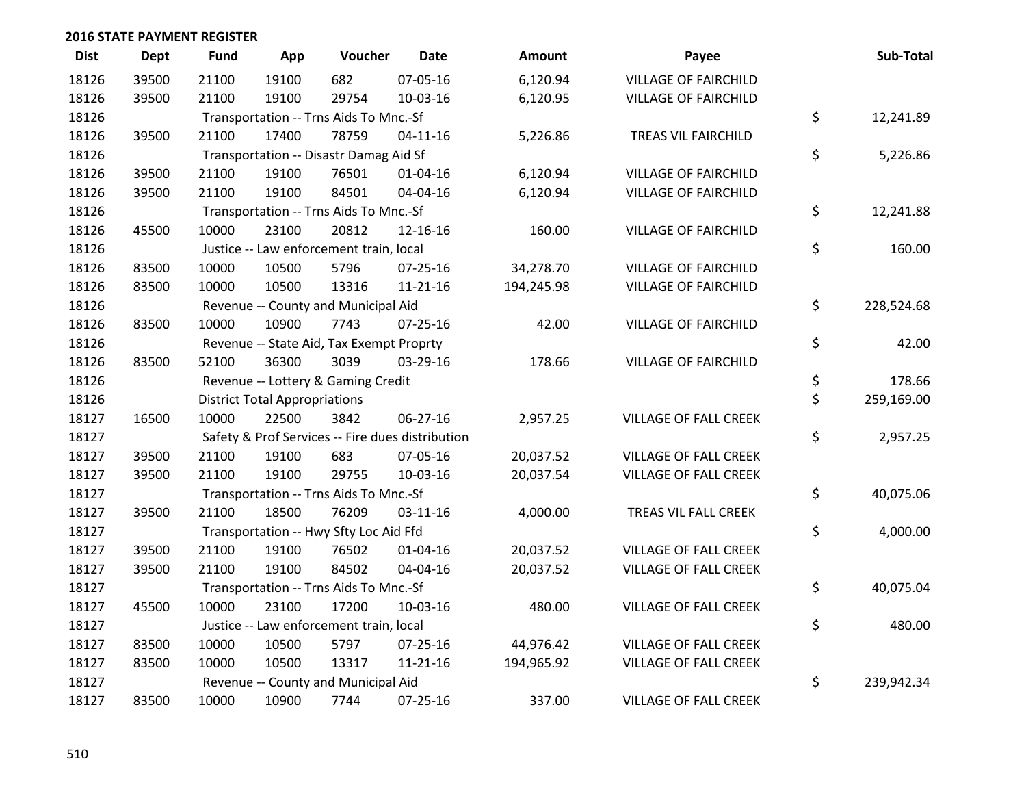| <b>Dist</b> | <b>Dept</b> | <b>Fund</b> | App                                    | Voucher                                  | <b>Date</b>                                      | Amount     | Payee                        |    | Sub-Total  |  |
|-------------|-------------|-------------|----------------------------------------|------------------------------------------|--------------------------------------------------|------------|------------------------------|----|------------|--|
| 18126       | 39500       | 21100       | 19100                                  | 682                                      | 07-05-16                                         | 6,120.94   | <b>VILLAGE OF FAIRCHILD</b>  |    |            |  |
| 18126       | 39500       | 21100       | 19100                                  | 29754                                    | 10-03-16                                         | 6,120.95   | <b>VILLAGE OF FAIRCHILD</b>  |    |            |  |
| 18126       |             |             |                                        | Transportation -- Trns Aids To Mnc.-Sf   |                                                  |            |                              | \$ | 12,241.89  |  |
| 18126       | 39500       | 21100       | 17400                                  | 78759                                    | $04 - 11 - 16$                                   | 5,226.86   | TREAS VIL FAIRCHILD          |    |            |  |
| 18126       |             |             |                                        | Transportation -- Disastr Damag Aid Sf   |                                                  |            |                              | \$ | 5,226.86   |  |
| 18126       | 39500       | 21100       | 19100                                  | 76501                                    | 01-04-16                                         | 6,120.94   | <b>VILLAGE OF FAIRCHILD</b>  |    |            |  |
| 18126       | 39500       | 21100       | 19100                                  | 84501                                    | 04-04-16                                         | 6,120.94   | <b>VILLAGE OF FAIRCHILD</b>  |    |            |  |
| 18126       |             |             | Transportation -- Trns Aids To Mnc.-Sf |                                          |                                                  |            |                              |    |            |  |
| 18126       | 45500       | 10000       | 23100                                  | 20812                                    | 12-16-16                                         | 160.00     | <b>VILLAGE OF FAIRCHILD</b>  |    |            |  |
| 18126       |             |             |                                        | Justice -- Law enforcement train, local  |                                                  |            |                              | \$ | 160.00     |  |
| 18126       | 83500       | 10000       | 10500                                  | 5796                                     | $07 - 25 - 16$                                   | 34,278.70  | <b>VILLAGE OF FAIRCHILD</b>  |    |            |  |
| 18126       | 83500       | 10000       | 10500                                  | 13316                                    | 11-21-16                                         | 194,245.98 | <b>VILLAGE OF FAIRCHILD</b>  |    |            |  |
| 18126       |             |             |                                        | Revenue -- County and Municipal Aid      |                                                  |            |                              | \$ | 228,524.68 |  |
| 18126       | 83500       | 10000       | 10900                                  | 7743                                     | $07 - 25 - 16$                                   | 42.00      | <b>VILLAGE OF FAIRCHILD</b>  |    |            |  |
| 18126       |             |             |                                        | Revenue -- State Aid, Tax Exempt Proprty |                                                  |            |                              | \$ | 42.00      |  |
| 18126       | 83500       | 52100       | 36300                                  | 3039                                     | 03-29-16                                         | 178.66     | <b>VILLAGE OF FAIRCHILD</b>  |    |            |  |
| 18126       |             |             |                                        | Revenue -- Lottery & Gaming Credit       |                                                  |            |                              | \$ | 178.66     |  |
| 18126       |             |             | <b>District Total Appropriations</b>   |                                          |                                                  |            |                              | \$ | 259,169.00 |  |
| 18127       | 16500       | 10000       | 22500                                  | 3842                                     | 06-27-16                                         | 2,957.25   | VILLAGE OF FALL CREEK        |    |            |  |
| 18127       |             |             |                                        |                                          | Safety & Prof Services -- Fire dues distribution |            |                              | \$ | 2,957.25   |  |
| 18127       | 39500       | 21100       | 19100                                  | 683                                      | 07-05-16                                         | 20,037.52  | <b>VILLAGE OF FALL CREEK</b> |    |            |  |
| 18127       | 39500       | 21100       | 19100                                  | 29755                                    | 10-03-16                                         | 20,037.54  | VILLAGE OF FALL CREEK        |    |            |  |
| 18127       |             |             |                                        | Transportation -- Trns Aids To Mnc.-Sf   |                                                  |            |                              | \$ | 40,075.06  |  |
| 18127       | 39500       | 21100       | 18500                                  | 76209                                    | 03-11-16                                         | 4,000.00   | TREAS VIL FALL CREEK         |    |            |  |
| 18127       |             |             |                                        | Transportation -- Hwy Sfty Loc Aid Ffd   |                                                  |            |                              | \$ | 4,000.00   |  |
| 18127       | 39500       | 21100       | 19100                                  | 76502                                    | $01 - 04 - 16$                                   | 20,037.52  | <b>VILLAGE OF FALL CREEK</b> |    |            |  |
| 18127       | 39500       | 21100       | 19100                                  | 84502                                    | 04-04-16                                         | 20,037.52  | VILLAGE OF FALL CREEK        |    |            |  |
| 18127       |             |             |                                        | Transportation -- Trns Aids To Mnc.-Sf   |                                                  |            |                              | \$ | 40,075.04  |  |
| 18127       | 45500       | 10000       | 23100                                  | 17200                                    | 10-03-16                                         | 480.00     | <b>VILLAGE OF FALL CREEK</b> |    |            |  |
| 18127       |             |             |                                        | Justice -- Law enforcement train, local  |                                                  |            |                              | \$ | 480.00     |  |
| 18127       | 83500       | 10000       | 10500                                  | 5797                                     | 07-25-16                                         | 44,976.42  | VILLAGE OF FALL CREEK        |    |            |  |
| 18127       | 83500       | 10000       | 10500                                  | 13317                                    | $11 - 21 - 16$                                   | 194,965.92 | VILLAGE OF FALL CREEK        |    |            |  |
| 18127       |             |             |                                        | Revenue -- County and Municipal Aid      |                                                  |            |                              | \$ | 239,942.34 |  |
| 18127       | 83500       | 10000       | 10900                                  | 7744                                     | 07-25-16                                         | 337.00     | <b>VILLAGE OF FALL CREEK</b> |    |            |  |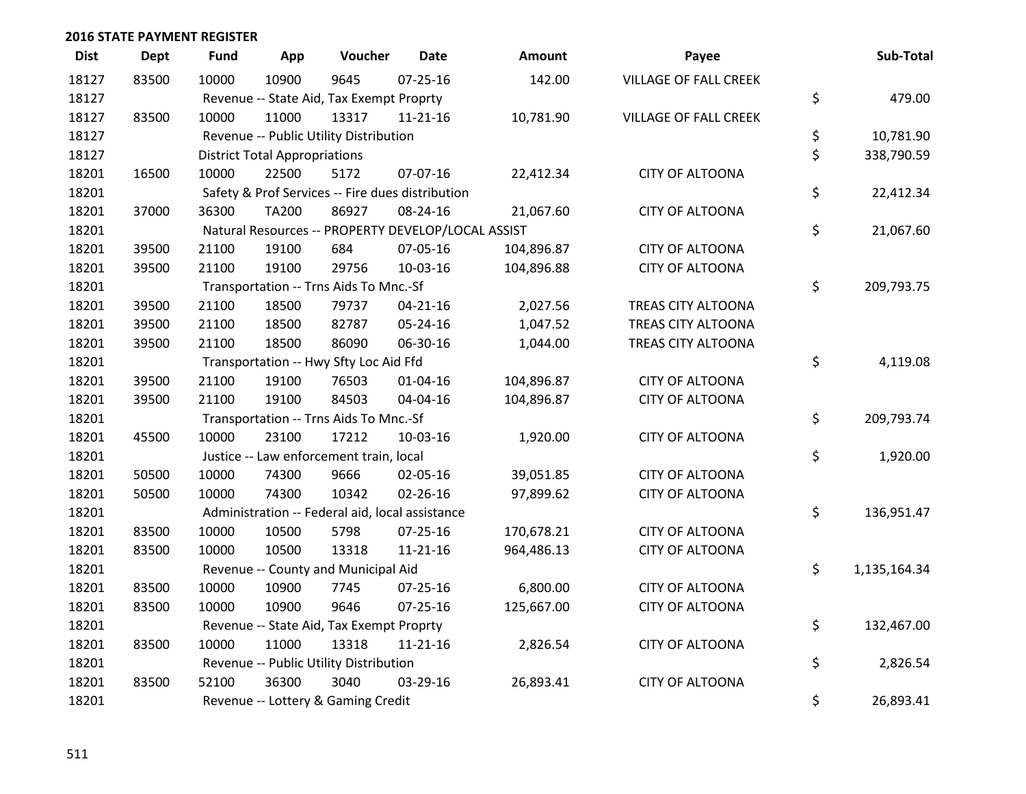| <b>Dist</b> | <b>Dept</b> | <b>Fund</b> | App                                  | Voucher                                            | <b>Date</b>    | Amount     | Payee                        | Sub-Total          |
|-------------|-------------|-------------|--------------------------------------|----------------------------------------------------|----------------|------------|------------------------------|--------------------|
| 18127       | 83500       | 10000       | 10900                                | 9645                                               | $07 - 25 - 16$ | 142.00     | <b>VILLAGE OF FALL CREEK</b> |                    |
| 18127       |             |             |                                      | Revenue -- State Aid, Tax Exempt Proprty           |                |            |                              | \$<br>479.00       |
| 18127       | 83500       | 10000       | 11000                                | 13317                                              | 11-21-16       | 10,781.90  | <b>VILLAGE OF FALL CREEK</b> |                    |
| 18127       |             |             |                                      | Revenue -- Public Utility Distribution             |                |            |                              | \$<br>10,781.90    |
| 18127       |             |             | <b>District Total Appropriations</b> |                                                    |                |            |                              | \$<br>338,790.59   |
| 18201       | 16500       | 10000       | 22500                                | 5172                                               | 07-07-16       | 22,412.34  | <b>CITY OF ALTOONA</b>       |                    |
| 18201       |             |             |                                      | Safety & Prof Services -- Fire dues distribution   |                |            |                              | \$<br>22,412.34    |
| 18201       | 37000       | 36300       | <b>TA200</b>                         | 86927                                              | 08-24-16       | 21,067.60  | <b>CITY OF ALTOONA</b>       |                    |
| 18201       |             |             |                                      | Natural Resources -- PROPERTY DEVELOP/LOCAL ASSIST |                |            |                              | \$<br>21,067.60    |
| 18201       | 39500       | 21100       | 19100                                | 684                                                | 07-05-16       | 104,896.87 | <b>CITY OF ALTOONA</b>       |                    |
| 18201       | 39500       | 21100       | 19100                                | 29756                                              | 10-03-16       | 104,896.88 | <b>CITY OF ALTOONA</b>       |                    |
| 18201       |             |             |                                      | Transportation -- Trns Aids To Mnc.-Sf             |                |            |                              | \$<br>209,793.75   |
| 18201       | 39500       | 21100       | 18500                                | 79737                                              | $04 - 21 - 16$ | 2,027.56   | TREAS CITY ALTOONA           |                    |
| 18201       | 39500       | 21100       | 18500                                | 82787                                              | 05-24-16       | 1,047.52   | TREAS CITY ALTOONA           |                    |
| 18201       | 39500       | 21100       | 18500                                | 86090                                              | 06-30-16       | 1,044.00   | TREAS CITY ALTOONA           |                    |
| 18201       |             |             |                                      | Transportation -- Hwy Sfty Loc Aid Ffd             |                |            |                              | \$<br>4,119.08     |
| 18201       | 39500       | 21100       | 19100                                | 76503                                              | $01 - 04 - 16$ | 104,896.87 | <b>CITY OF ALTOONA</b>       |                    |
| 18201       | 39500       | 21100       | 19100                                | 84503                                              | 04-04-16       | 104,896.87 | <b>CITY OF ALTOONA</b>       |                    |
| 18201       |             |             |                                      | Transportation -- Trns Aids To Mnc.-Sf             |                |            |                              | \$<br>209,793.74   |
| 18201       | 45500       | 10000       | 23100                                | 17212                                              | 10-03-16       | 1,920.00   | <b>CITY OF ALTOONA</b>       |                    |
| 18201       |             |             |                                      | Justice -- Law enforcement train, local            |                |            |                              | \$<br>1,920.00     |
| 18201       | 50500       | 10000       | 74300                                | 9666                                               | 02-05-16       | 39,051.85  | <b>CITY OF ALTOONA</b>       |                    |
| 18201       | 50500       | 10000       | 74300                                | 10342                                              | 02-26-16       | 97,899.62  | <b>CITY OF ALTOONA</b>       |                    |
| 18201       |             |             |                                      | Administration -- Federal aid, local assistance    |                |            |                              | \$<br>136,951.47   |
| 18201       | 83500       | 10000       | 10500                                | 5798                                               | $07 - 25 - 16$ | 170,678.21 | <b>CITY OF ALTOONA</b>       |                    |
| 18201       | 83500       | 10000       | 10500                                | 13318                                              | $11 - 21 - 16$ | 964,486.13 | <b>CITY OF ALTOONA</b>       |                    |
| 18201       |             |             |                                      | Revenue -- County and Municipal Aid                |                |            |                              | \$<br>1,135,164.34 |
| 18201       | 83500       | 10000       | 10900                                | 7745                                               | 07-25-16       | 6,800.00   | <b>CITY OF ALTOONA</b>       |                    |
| 18201       | 83500       | 10000       | 10900                                | 9646                                               | 07-25-16       | 125,667.00 | <b>CITY OF ALTOONA</b>       |                    |
| 18201       |             |             |                                      | Revenue -- State Aid, Tax Exempt Proprty           |                |            |                              | \$<br>132,467.00   |
| 18201       | 83500       | 10000       | 11000                                | 13318                                              | $11 - 21 - 16$ | 2,826.54   | <b>CITY OF ALTOONA</b>       |                    |
| 18201       |             |             |                                      | Revenue -- Public Utility Distribution             |                |            |                              | \$<br>2,826.54     |
| 18201       | 83500       | 52100       | 36300                                | 3040                                               | 03-29-16       | 26,893.41  | <b>CITY OF ALTOONA</b>       |                    |
| 18201       |             |             |                                      | Revenue -- Lottery & Gaming Credit                 |                |            |                              | \$<br>26,893.41    |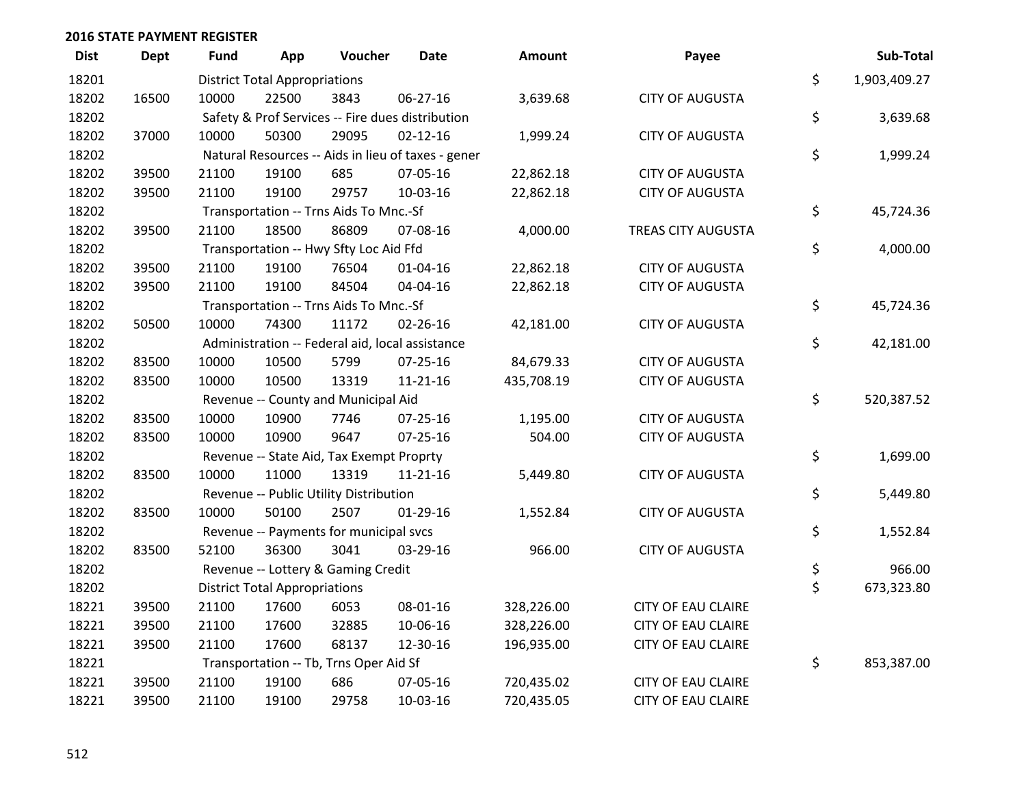| <b>Dist</b> | <b>Dept</b> | <b>Fund</b> | App                                  | Voucher                                          | Date                                               | <b>Amount</b> | Payee                     | Sub-Total          |
|-------------|-------------|-------------|--------------------------------------|--------------------------------------------------|----------------------------------------------------|---------------|---------------------------|--------------------|
| 18201       |             |             | <b>District Total Appropriations</b> |                                                  |                                                    |               |                           | \$<br>1,903,409.27 |
| 18202       | 16500       | 10000       | 22500                                | 3843                                             | 06-27-16                                           | 3,639.68      | <b>CITY OF AUGUSTA</b>    |                    |
| 18202       |             |             |                                      | Safety & Prof Services -- Fire dues distribution |                                                    |               |                           | \$<br>3,639.68     |
| 18202       | 37000       | 10000       | 50300                                | 29095                                            | $02 - 12 - 16$                                     | 1,999.24      | <b>CITY OF AUGUSTA</b>    |                    |
| 18202       |             |             |                                      |                                                  | Natural Resources -- Aids in lieu of taxes - gener |               |                           | \$<br>1,999.24     |
| 18202       | 39500       | 21100       | 19100                                | 685                                              | 07-05-16                                           | 22,862.18     | <b>CITY OF AUGUSTA</b>    |                    |
| 18202       | 39500       | 21100       | 19100                                | 29757                                            | 10-03-16                                           | 22,862.18     | <b>CITY OF AUGUSTA</b>    |                    |
| 18202       |             |             |                                      | Transportation -- Trns Aids To Mnc.-Sf           |                                                    |               |                           | \$<br>45,724.36    |
| 18202       | 39500       | 21100       | 18500                                | 86809                                            | 07-08-16                                           | 4,000.00      | TREAS CITY AUGUSTA        |                    |
| 18202       |             |             |                                      | Transportation -- Hwy Sfty Loc Aid Ffd           |                                                    |               |                           | \$<br>4,000.00     |
| 18202       | 39500       | 21100       | 19100                                | 76504                                            | $01 - 04 - 16$                                     | 22,862.18     | <b>CITY OF AUGUSTA</b>    |                    |
| 18202       | 39500       | 21100       | 19100                                | 84504                                            | 04-04-16                                           | 22,862.18     | <b>CITY OF AUGUSTA</b>    |                    |
| 18202       |             |             |                                      | Transportation -- Trns Aids To Mnc.-Sf           |                                                    |               |                           | \$<br>45,724.36    |
| 18202       | 50500       | 10000       | 74300                                | 11172                                            | $02 - 26 - 16$                                     | 42,181.00     | <b>CITY OF AUGUSTA</b>    |                    |
| 18202       |             |             |                                      | Administration -- Federal aid, local assistance  |                                                    |               |                           | \$<br>42,181.00    |
| 18202       | 83500       | 10000       | 10500                                | 5799                                             | 07-25-16                                           | 84,679.33     | <b>CITY OF AUGUSTA</b>    |                    |
| 18202       | 83500       | 10000       | 10500                                | 13319                                            | $11 - 21 - 16$                                     | 435,708.19    | <b>CITY OF AUGUSTA</b>    |                    |
| 18202       |             |             |                                      | Revenue -- County and Municipal Aid              |                                                    |               |                           | \$<br>520,387.52   |
| 18202       | 83500       | 10000       | 10900                                | 7746                                             | $07 - 25 - 16$                                     | 1,195.00      | <b>CITY OF AUGUSTA</b>    |                    |
| 18202       | 83500       | 10000       | 10900                                | 9647                                             | $07 - 25 - 16$                                     | 504.00        | <b>CITY OF AUGUSTA</b>    |                    |
| 18202       |             |             |                                      | Revenue -- State Aid, Tax Exempt Proprty         |                                                    |               |                           | \$<br>1,699.00     |
| 18202       | 83500       | 10000       | 11000                                | 13319                                            | $11 - 21 - 16$                                     | 5,449.80      | <b>CITY OF AUGUSTA</b>    |                    |
| 18202       |             |             |                                      | Revenue -- Public Utility Distribution           |                                                    |               |                           | \$<br>5,449.80     |
| 18202       | 83500       | 10000       | 50100                                | 2507                                             | $01-29-16$                                         | 1,552.84      | <b>CITY OF AUGUSTA</b>    |                    |
| 18202       |             |             |                                      | Revenue -- Payments for municipal svcs           |                                                    |               |                           | \$<br>1,552.84     |
| 18202       | 83500       | 52100       | 36300                                | 3041                                             | 03-29-16                                           | 966.00        | <b>CITY OF AUGUSTA</b>    |                    |
| 18202       |             |             |                                      | Revenue -- Lottery & Gaming Credit               |                                                    |               |                           | \$<br>966.00       |
| 18202       |             |             | <b>District Total Appropriations</b> |                                                  |                                                    |               |                           | \$<br>673,323.80   |
| 18221       | 39500       | 21100       | 17600                                | 6053                                             | 08-01-16                                           | 328,226.00    | <b>CITY OF EAU CLAIRE</b> |                    |
| 18221       | 39500       | 21100       | 17600                                | 32885                                            | 10-06-16                                           | 328,226.00    | <b>CITY OF EAU CLAIRE</b> |                    |
| 18221       | 39500       | 21100       | 17600                                | 68137                                            | 12-30-16                                           | 196,935.00    | <b>CITY OF EAU CLAIRE</b> |                    |
| 18221       |             |             |                                      | Transportation -- Tb, Trns Oper Aid Sf           |                                                    |               |                           | \$<br>853,387.00   |
| 18221       | 39500       | 21100       | 19100                                | 686                                              | 07-05-16                                           | 720,435.02    | <b>CITY OF EAU CLAIRE</b> |                    |
| 18221       | 39500       | 21100       | 19100                                | 29758                                            | 10-03-16                                           | 720,435.05    | <b>CITY OF EAU CLAIRE</b> |                    |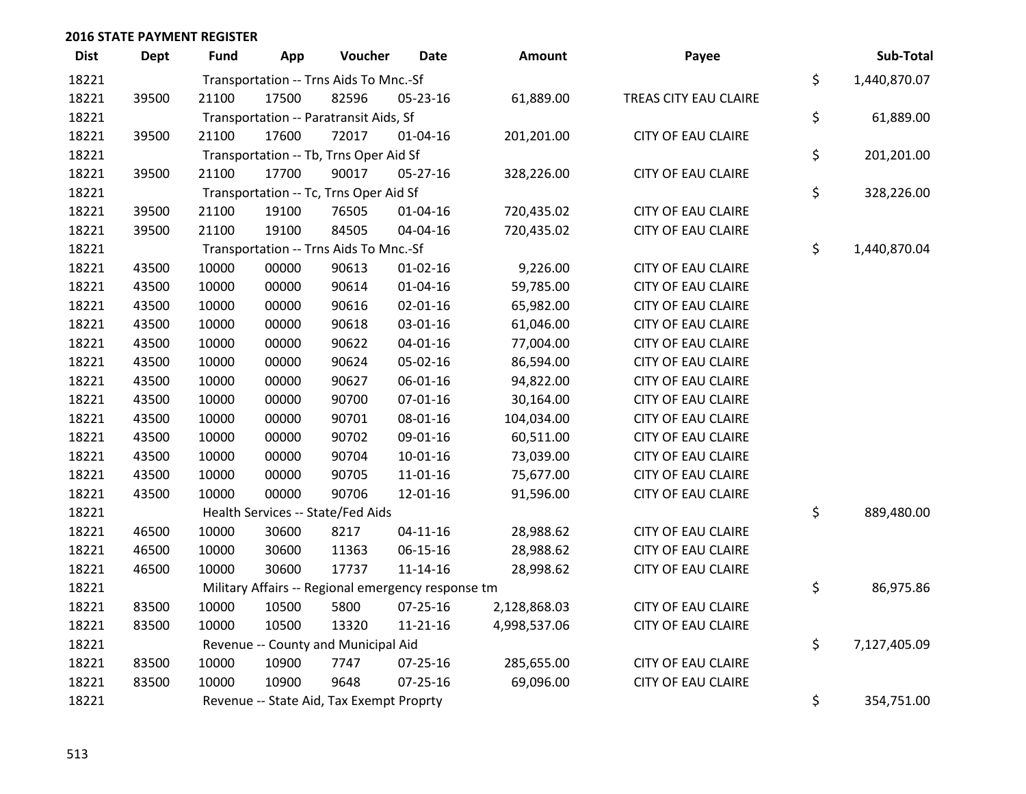| <b>Dist</b> | Dept  | <b>Fund</b> | App   | Voucher                                            | <b>Date</b>    | Amount       | Payee                     | Sub-Total          |
|-------------|-------|-------------|-------|----------------------------------------------------|----------------|--------------|---------------------------|--------------------|
| 18221       |       |             |       | Transportation -- Trns Aids To Mnc.-Sf             |                |              |                           | \$<br>1,440,870.07 |
| 18221       | 39500 | 21100       | 17500 | 82596                                              | 05-23-16       | 61,889.00    | TREAS CITY EAU CLAIRE     |                    |
| 18221       |       |             |       | Transportation -- Paratransit Aids, Sf             |                |              |                           | \$<br>61,889.00    |
| 18221       | 39500 | 21100       | 17600 | 72017                                              | $01 - 04 - 16$ | 201,201.00   | <b>CITY OF EAU CLAIRE</b> |                    |
| 18221       |       |             |       | Transportation -- Tb, Trns Oper Aid Sf             |                |              |                           | \$<br>201,201.00   |
| 18221       | 39500 | 21100       | 17700 | 90017                                              | 05-27-16       | 328,226.00   | <b>CITY OF EAU CLAIRE</b> |                    |
| 18221       |       |             |       | Transportation -- Tc, Trns Oper Aid Sf             |                |              |                           | \$<br>328,226.00   |
| 18221       | 39500 | 21100       | 19100 | 76505                                              | $01 - 04 - 16$ | 720,435.02   | <b>CITY OF EAU CLAIRE</b> |                    |
| 18221       | 39500 | 21100       | 19100 | 84505                                              | 04-04-16       | 720,435.02   | <b>CITY OF EAU CLAIRE</b> |                    |
| 18221       |       |             |       | Transportation -- Trns Aids To Mnc.-Sf             |                |              |                           | \$<br>1,440,870.04 |
| 18221       | 43500 | 10000       | 00000 | 90613                                              | $01 - 02 - 16$ | 9,226.00     | <b>CITY OF EAU CLAIRE</b> |                    |
| 18221       | 43500 | 10000       | 00000 | 90614                                              | $01 - 04 - 16$ | 59,785.00    | <b>CITY OF EAU CLAIRE</b> |                    |
| 18221       | 43500 | 10000       | 00000 | 90616                                              | $02 - 01 - 16$ | 65,982.00    | <b>CITY OF EAU CLAIRE</b> |                    |
| 18221       | 43500 | 10000       | 00000 | 90618                                              | 03-01-16       | 61,046.00    | <b>CITY OF EAU CLAIRE</b> |                    |
| 18221       | 43500 | 10000       | 00000 | 90622                                              | $04 - 01 - 16$ | 77,004.00    | <b>CITY OF EAU CLAIRE</b> |                    |
| 18221       | 43500 | 10000       | 00000 | 90624                                              | 05-02-16       | 86,594.00    | <b>CITY OF EAU CLAIRE</b> |                    |
| 18221       | 43500 | 10000       | 00000 | 90627                                              | 06-01-16       | 94,822.00    | <b>CITY OF EAU CLAIRE</b> |                    |
| 18221       | 43500 | 10000       | 00000 | 90700                                              | $07 - 01 - 16$ | 30,164.00    | <b>CITY OF EAU CLAIRE</b> |                    |
| 18221       | 43500 | 10000       | 00000 | 90701                                              | 08-01-16       | 104,034.00   | <b>CITY OF EAU CLAIRE</b> |                    |
| 18221       | 43500 | 10000       | 00000 | 90702                                              | 09-01-16       | 60,511.00    | <b>CITY OF EAU CLAIRE</b> |                    |
| 18221       | 43500 | 10000       | 00000 | 90704                                              | $10 - 01 - 16$ | 73,039.00    | <b>CITY OF EAU CLAIRE</b> |                    |
| 18221       | 43500 | 10000       | 00000 | 90705                                              | $11 - 01 - 16$ | 75,677.00    | <b>CITY OF EAU CLAIRE</b> |                    |
| 18221       | 43500 | 10000       | 00000 | 90706                                              | 12-01-16       | 91,596.00    | <b>CITY OF EAU CLAIRE</b> |                    |
| 18221       |       |             |       | Health Services -- State/Fed Aids                  |                |              |                           | \$<br>889,480.00   |
| 18221       | 46500 | 10000       | 30600 | 8217                                               | $04 - 11 - 16$ | 28,988.62    | <b>CITY OF EAU CLAIRE</b> |                    |
| 18221       | 46500 | 10000       | 30600 | 11363                                              | 06-15-16       | 28,988.62    | <b>CITY OF EAU CLAIRE</b> |                    |
| 18221       | 46500 | 10000       | 30600 | 17737                                              | $11 - 14 - 16$ | 28,998.62    | <b>CITY OF EAU CLAIRE</b> |                    |
| 18221       |       |             |       | Military Affairs -- Regional emergency response tm |                |              |                           | \$<br>86,975.86    |
| 18221       | 83500 | 10000       | 10500 | 5800                                               | 07-25-16       | 2,128,868.03 | <b>CITY OF EAU CLAIRE</b> |                    |
| 18221       | 83500 | 10000       | 10500 | 13320                                              | $11 - 21 - 16$ | 4,998,537.06 | <b>CITY OF EAU CLAIRE</b> |                    |
| 18221       |       |             |       | Revenue -- County and Municipal Aid                |                |              |                           | \$<br>7,127,405.09 |
| 18221       | 83500 | 10000       | 10900 | 7747                                               | 07-25-16       | 285,655.00   | <b>CITY OF EAU CLAIRE</b> |                    |
| 18221       | 83500 | 10000       | 10900 | 9648                                               | $07 - 25 - 16$ | 69,096.00    | <b>CITY OF EAU CLAIRE</b> |                    |
| 18221       |       |             |       | Revenue -- State Aid, Tax Exempt Proprty           |                |              |                           | \$<br>354,751.00   |